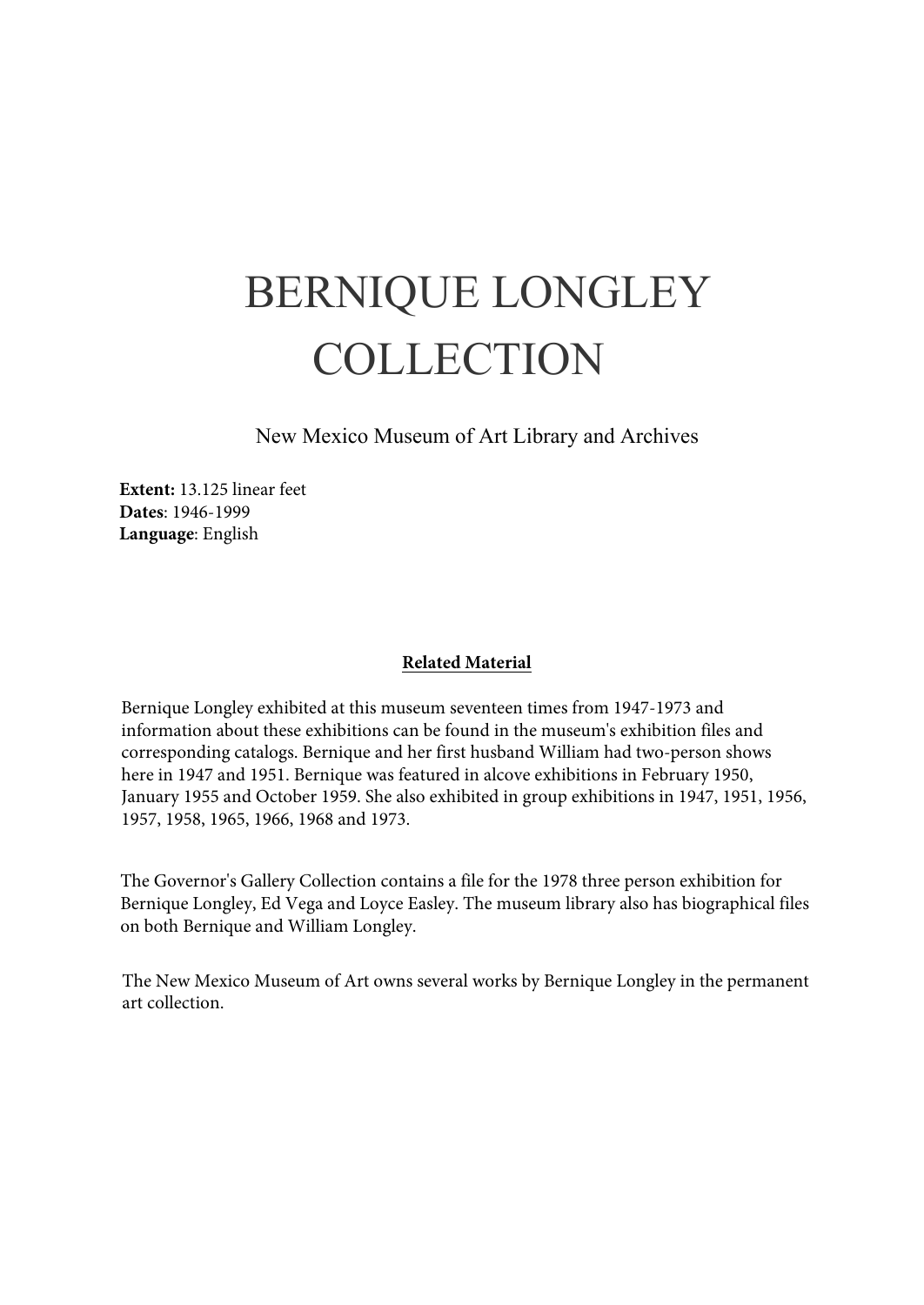## BERNIQUE LONGLEY COLLECTION

New Mexico Museum of Art Library and Archives

**Extent:** 13.125 linear feet **Dates**: 1946-1999 **Language**: English

#### **Related Material**

Bernique Longley exhibited at this museum seventeen times from 1947-1973 and information about these exhibitions can be found in the museum's exhibition files and corresponding catalogs. Bernique and her first husband William had two-person shows here in 1947 and 1951. Bernique was featured in alcove exhibitions in February 1950, January 1955 and October 1959. She also exhibited in group exhibitions in 1947, 1951, 1956, 1957, 1958, 1965, 1966, 1968 and 1973.

The Governor's Gallery Collection contains a file for the 1978 three person exhibition for Bernique Longley, Ed Vega and Loyce Easley. The museum library also has biographical files on both Bernique and William Longley.

The New Mexico Museum of Art owns several works by Bernique Longley in the permanent art collection.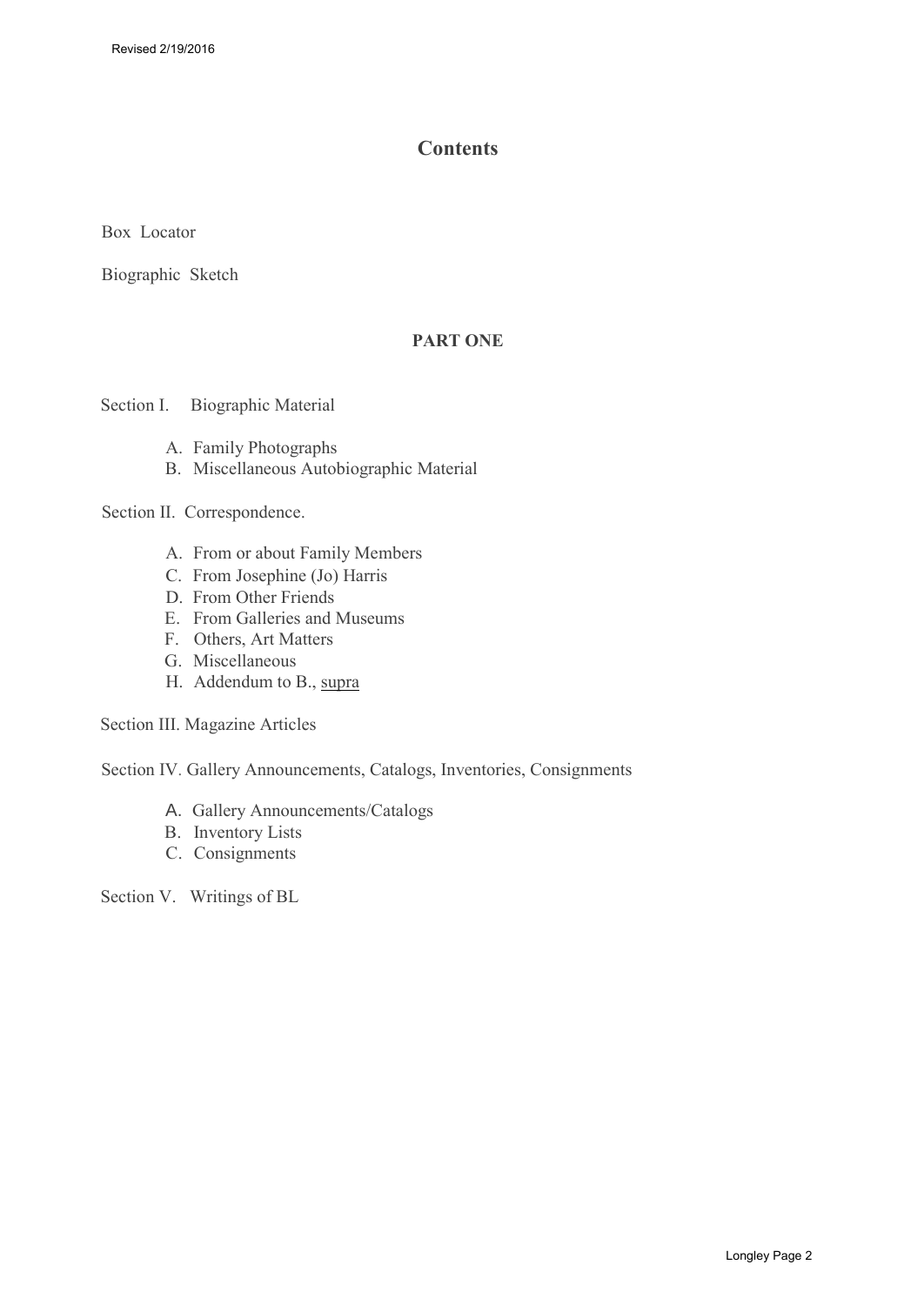## **Contents**

Box Locator

[Biographic Sketch](#page-3-0)

## **PART ONE**

Section I. Biographic Material

- A. [Family Photographs](#page-4-0)
- B. Miscellaneous Autobiographic Material

Section II. Correspondence.

- A. From or about Family Members
- C. From Josephine (Jo) Harris
- D. [From Other Friends](#page-12-0)
- E. [From Galleries and Museums](#page-13-0)
- F. Others, Art Matters
- G. [Miscellaneous](#page-17-0)
- H. Addendum to B., supra

Section III. Magazine Articles

Section IV. Gallery Announcements, Catalogs, Inventories, Consignments

- A. [Gallery Announcements/Catalogs](#page-22-0)
- B. [Inventory Lists](#page-24-0)
- C. [Consignments](#page-25-0)

Section V. Writings of BL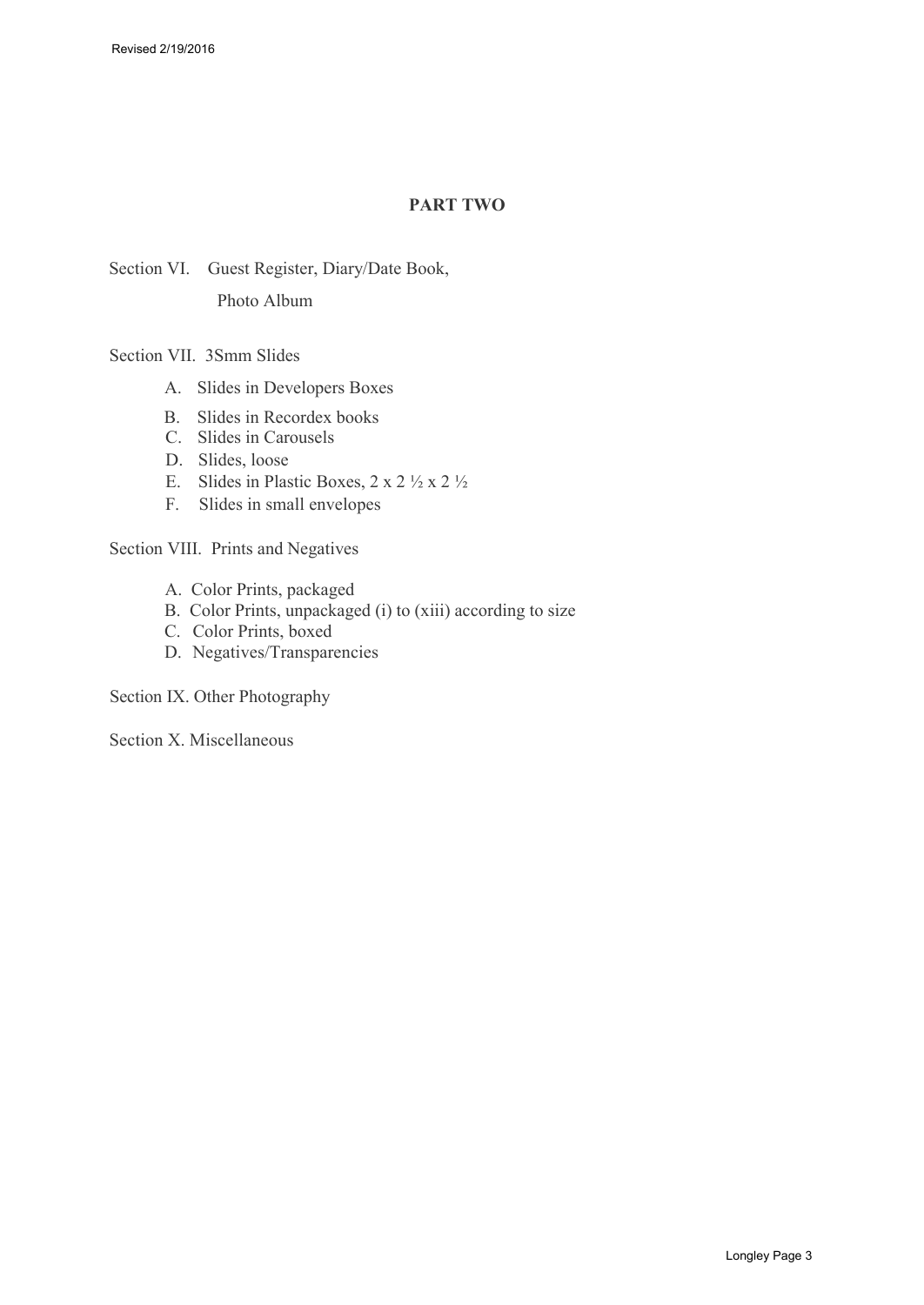## **PART TWO**

Section VI. Guest Register, Diary/Date Book, Photo Album

Section VII. 3Smm Slides

- A. Slides in Developers Boxes
- B. Slides in Recordex books
- C. Slides in Carousels
- D. Slides, loose
- E. Slides in Plastic Boxes,  $2 \times 2 \frac{1}{2} \times 2 \frac{1}{2}$
- F. Slides in small envelopes

Section VIII. Prints and Negatives

- A. Color Prints, packaged
- B. Color Prints, unpackaged (i) to (xiii) according to size
- C. Color Prints, boxed
- D. Negatives/Transparencies

Section IX. Other Photography

Section X. Miscellaneous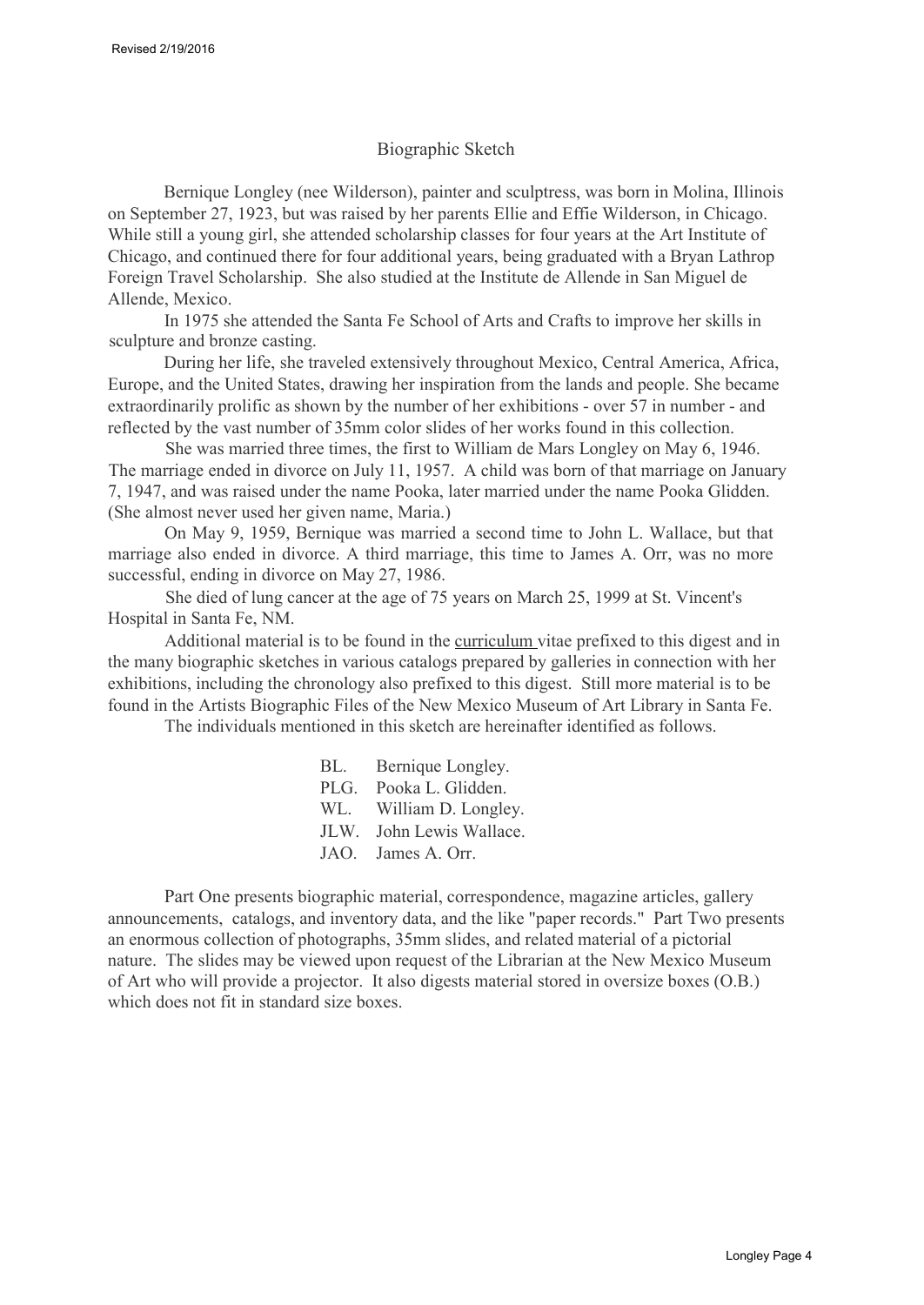### Biographic Sketch

<span id="page-3-0"></span>Bernique Longley (nee Wilderson), painter and sculptress, was born in Molina, Illinois on September 27, 1923, but was raised by her parents Ellie and Effie Wilderson, in Chicago. While still a young girl, she attended scholarship classes for four years at the Art Institute of Chicago, and continued there for four additional years, being graduated with a Bryan Lathrop Foreign Travel Scholarship. She also studied at the Institute de Allende in San Miguel de Allende, Mexico.

In 1975 she attended the Santa Fe School of Arts and Crafts to improve her skills in sculpture and bronze casting.

During her life, she traveled extensively throughout Mexico, Central America, Africa, Europe, and the United States, drawing her inspiration from the lands and people. She became extraordinarily prolific as shown by the number of her exhibitions - over 57 in number - and reflected by the vast number of 35mm color slides of her works found in this collection.

She was married three times, the first to William de Mars Longley on May 6, 1946. The marriage ended in divorce on July 11, 1957. A child was born of that marriage on January 7, 1947, and was raised under the name Pooka, later married under the name Pooka Glidden. (She almost never used her given name, Maria.)

On May 9, 1959, Bernique was married a second time to John L. Wallace, but that marriage also ended in divorce. A third marriage, this time to James A. Orr, was no more successful, ending in divorce on May 27, 1986.

She died of lung cancer at the age of 75 years on March 25, 1999 at St. Vincent's Hospital in Santa Fe, NM.

Additional material is to be found in the curriculum vitae prefixed to this digest and in the many biographic sketches in various catalogs prepared by galleries in connection with her exhibitions, including the chronology also prefixed to this digest. Still more material is to be found in the Artists Biographic Files of the New Mexico Museum of Art Library in Santa Fe.

The individuals mentioned in this sketch are hereinafter identified as follows.

| BL.  | Bernique Longley.   |
|------|---------------------|
| PLG. | Pooka L. Glidden.   |
| WL.  | William D. Longley. |
| JLW. | John Lewis Wallace. |
| JAO. | James A. Orr.       |

Part One presents biographic material, correspondence, magazine articles, gallery announcements, catalogs, and inventory data, and the like "paper records." Part Two presents an enormous collection of photographs, 35mm slides, and related material of a pictorial nature. The slides may be viewed upon request of the Librarian at the New Mexico Museum of Art who will provide a projector. It also digests material stored in oversize boxes (O.B.) which does not fit in standard size boxes.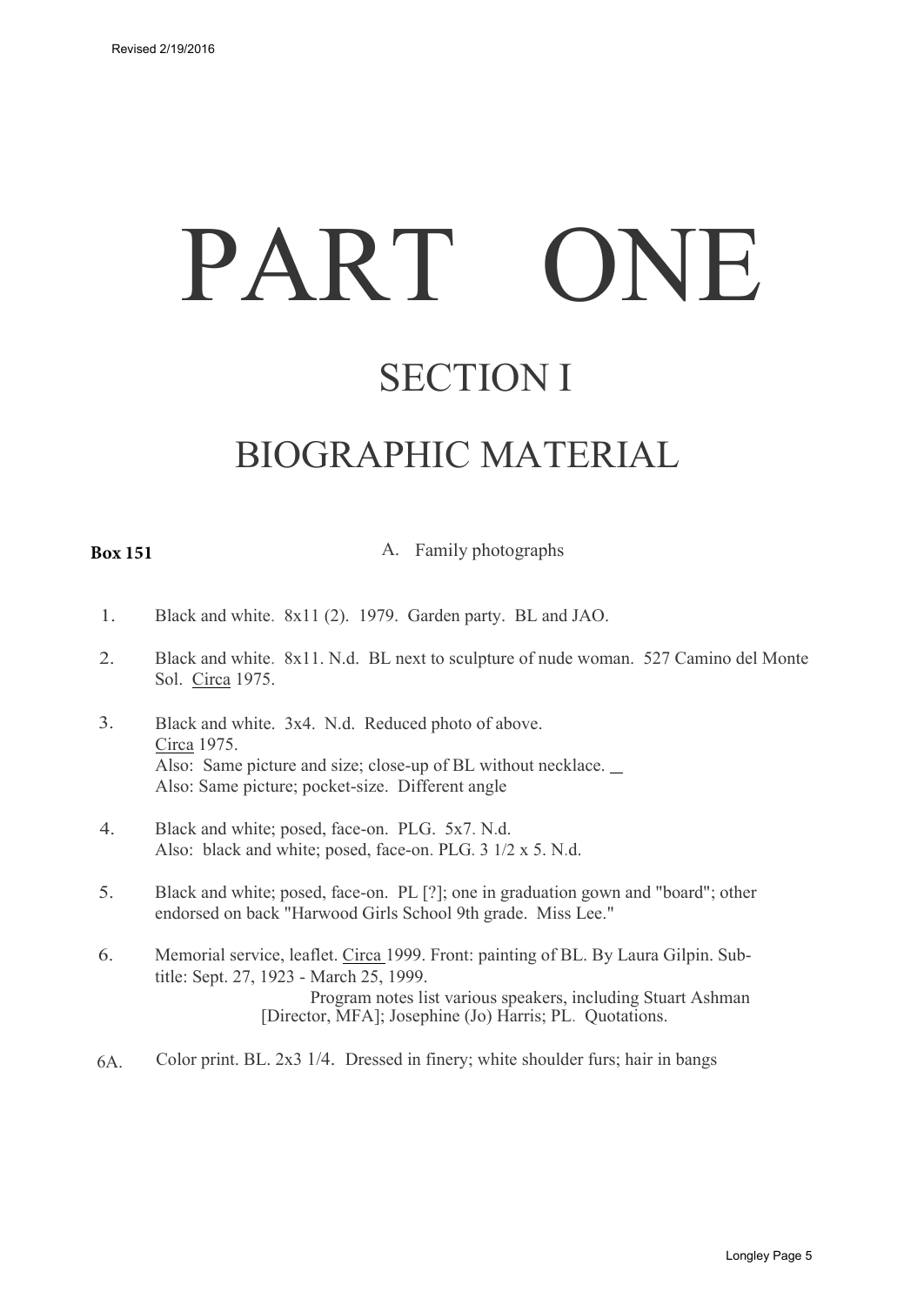# PART ONE

## SECTION I

## BIOGRAPHIC MATERIAL

### <span id="page-4-0"></span>**Box 151**

A. Family photographs

- 1. Black and white. 8x11 (2). 1979. Garden party. BL and JAO.
- 2. Black and white. 8x11. N.d. BL next to sculpture of nude woman. 527 Camino del Monte Sol. Circa 1975.
- 3. Black and white. 3x4. N.d. Reduced photo of above. Circa 1975. Also: Same picture and size; close-up of BL without necklace. Also: Same picture; pocket-size. Different angle
- 4. Black and white; posed, face-on. PLG. 5x7. N.d. Also: black and white; posed, face-on. PLG. 3 1/2 x 5. N.d.
- 5. Black and white; posed, face-on. PL [?]; one in graduation gown and "board"; other endorsed on back "Harwood Girls School 9th grade. Miss Lee."
- 6. Memorial service, leaflet. Circa 1999. Front: painting of BL. By Laura Gilpin. Subtitle: Sept. 27, 1923 - March 25, 1999. Program notes list various speakers, including Stuart Ashman [Director, MFA]; Josephine (Jo) Harris; PL. Quotations.
- 6A. Color print. BL. 2x3 1/4. Dressed in finery; white shoulder furs; hair in bangs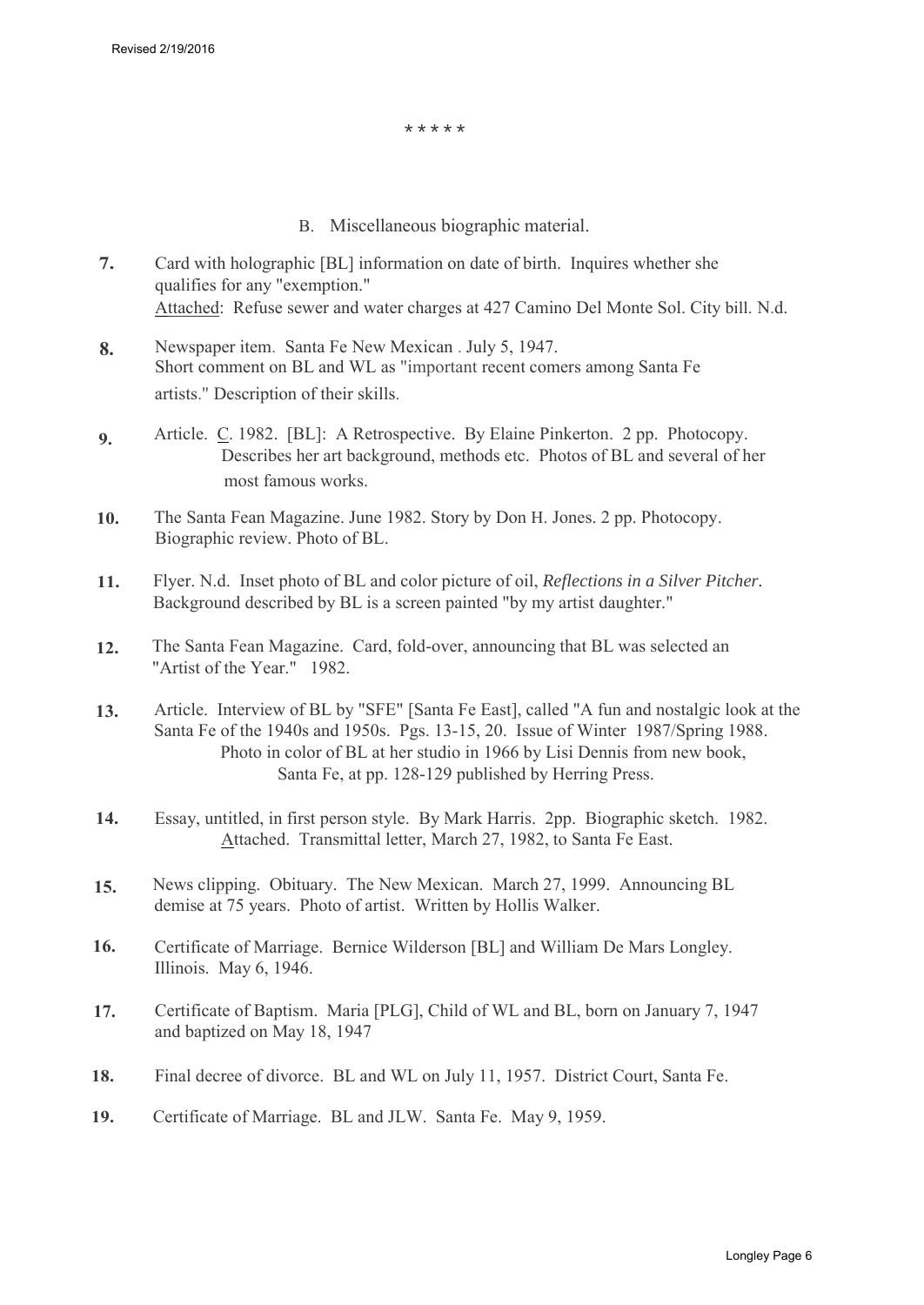\*\*\*\*\*

- B. Miscellaneous biographic material.
- **7.** Card with holographic [BL] information on date of birth. Inquires whether she qualifies for any "exemption." Attached: Refuse sewer and water charges at 427 Camino Del Monte Sol. City bill. N.d.
- **8.** Newspaper item. Santa Fe New Mexican . July 5, 1947. Short comment on BL and WL as "important recent comers among Santa Fe artists." Description of their skills.
- **9.** Article. C. 1982. [BL]: A Retrospective. By Elaine Pinkerton. 2 pp. Photocopy. Describes her art background, methods etc. Photos of BL and several of her most famous works.
- **10.** The Santa Fean Magazine. June 1982. Story by Don H. Jones. 2 pp. Photocopy. Biographic review. Photo of BL.
- **11.** Flyer. N.d. Inset photo of BL and color picture of oil, *Reflections in a Silver Pitcher.* Background described by BL is a screen painted "by my artist daughter."
- **12.** The Santa Fean Magazine. Card, fold-over, announcing that BL was selected an "Artist of the Year." 1982.
- **13.** Article. Interview of BL by "SFE" [Santa Fe East], called "A fun and nostalgic look at the Santa Fe of the 1940s and 1950s. Pgs. 13-15, 20. Issue of Winter 1987/Spring 1988. Photo in color of BL at her studio in 1966 by Lisi Dennis from new book, Santa Fe, at pp. 128-129 published by Herring Press.
- **14.** Essay, untitled, in first person style. By Mark Harris. 2pp. Biographic sketch. 1982. Attached. Transmittal letter, March 27, 1982, to Santa Fe East.
- **15.** News clipping. Obituary. The New Mexican. March 27, 1999. Announcing BL demise at 75 years. Photo of artist. Written by Hollis Walker.
- **16.** Certificate of Marriage. Bernice Wilderson [BL] and William De Mars Longley. Illinois. May 6, 1946.
- **17.** Certificate of Baptism. Maria [PLG], Child of WL and BL, born on January 7, 1947 and baptized on May 18, 1947
- **18.** Final decree of divorce. BL and WL on July 11, 1957. District Court, Santa Fe.
- **19.** Certificate of Marriage. BL and JLW. Santa Fe. May 9, 1959.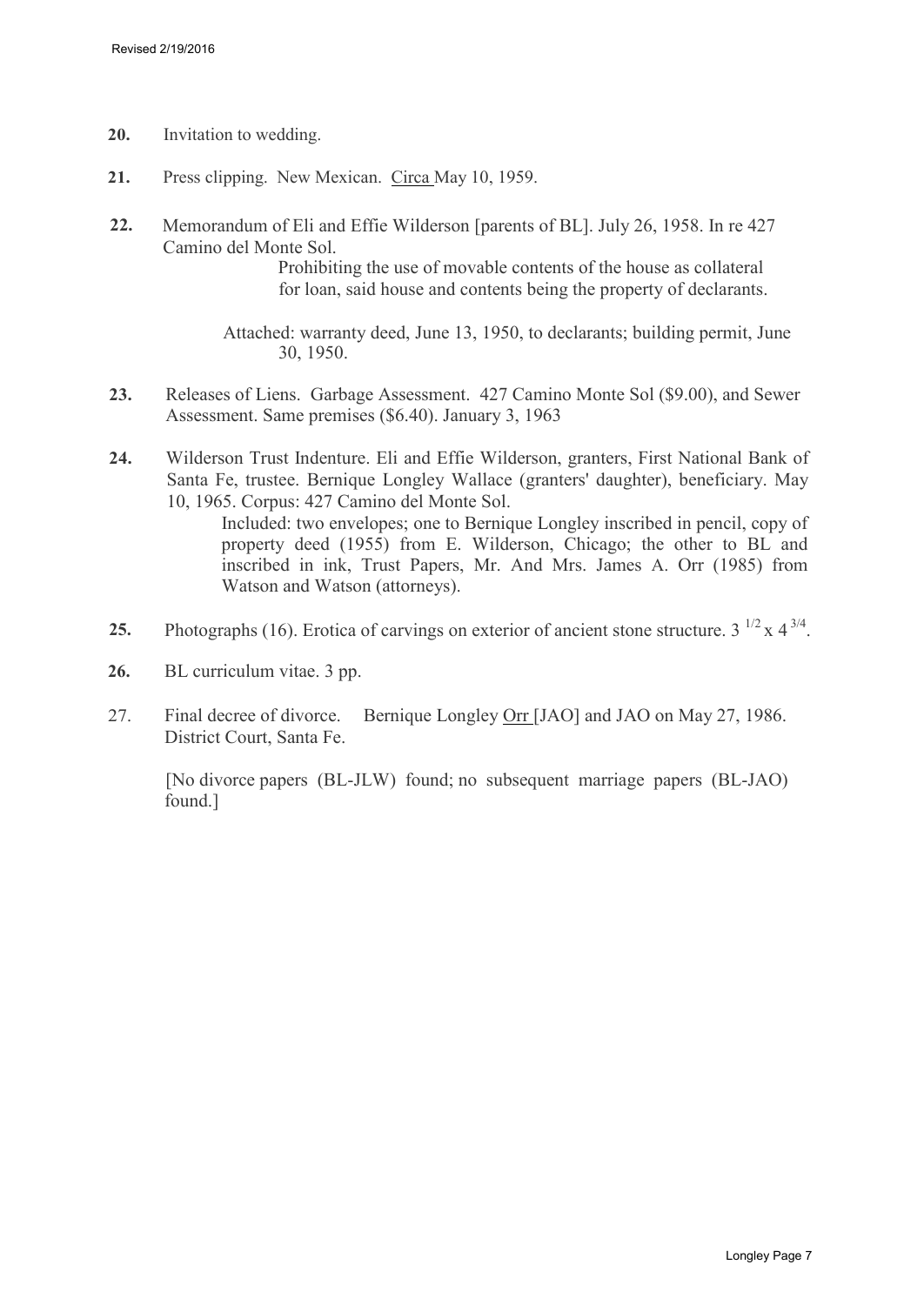- **20.** Invitation to wedding.
- **21.** Press clipping. New Mexican. Circa May 10, 1959.
- **22.** Memorandum of Eli and Effie Wilderson [parents of BL]. July 26, 1958. In re 427 Camino del Monte Sol.

Prohibiting the use of movable contents of the house as collateral for loan, said house and contents being the property of declarants.

Attached: warranty deed, June 13, 1950, to declarants; building permit, June 30, 1950.

- **23.** Releases of Liens. Garbage Assessment. 427 Camino Monte Sol (\$9.00), and Sewer Assessment. Same premises (\$6.40). January 3, 1963
- **24.** Wilderson Trust Indenture. Eli and Effie Wilderson, granters, First National Bank of Santa Fe, trustee. Bernique Longley Wallace (granters' daughter), beneficiary. May 10, 1965. Corpus: 427 Camino del Monte Sol.

Included: two envelopes; one to Bernique Longley inscribed in pencil, copy of property deed (1955) from E. Wilderson, Chicago; the other to BL and inscribed in ink, Trust Papers, Mr. And Mrs. James A. Orr (1985) from Watson and Watson (attorneys).

- **25.** Photographs (16). Erotica of carvings on exterior of ancient stone structure.  $3^{1/2} \times 4^{3/4}$ .
- **26.** BL curriculum vitae. 3 pp.
- 27. Final decree of divorce. Bernique Longley Orr [JAO] and JAO on May 27, 1986. District Court, Santa Fe.

[No divorce papers (BL-JLW) found; no subsequent marriage papers (BL-JAO) found.]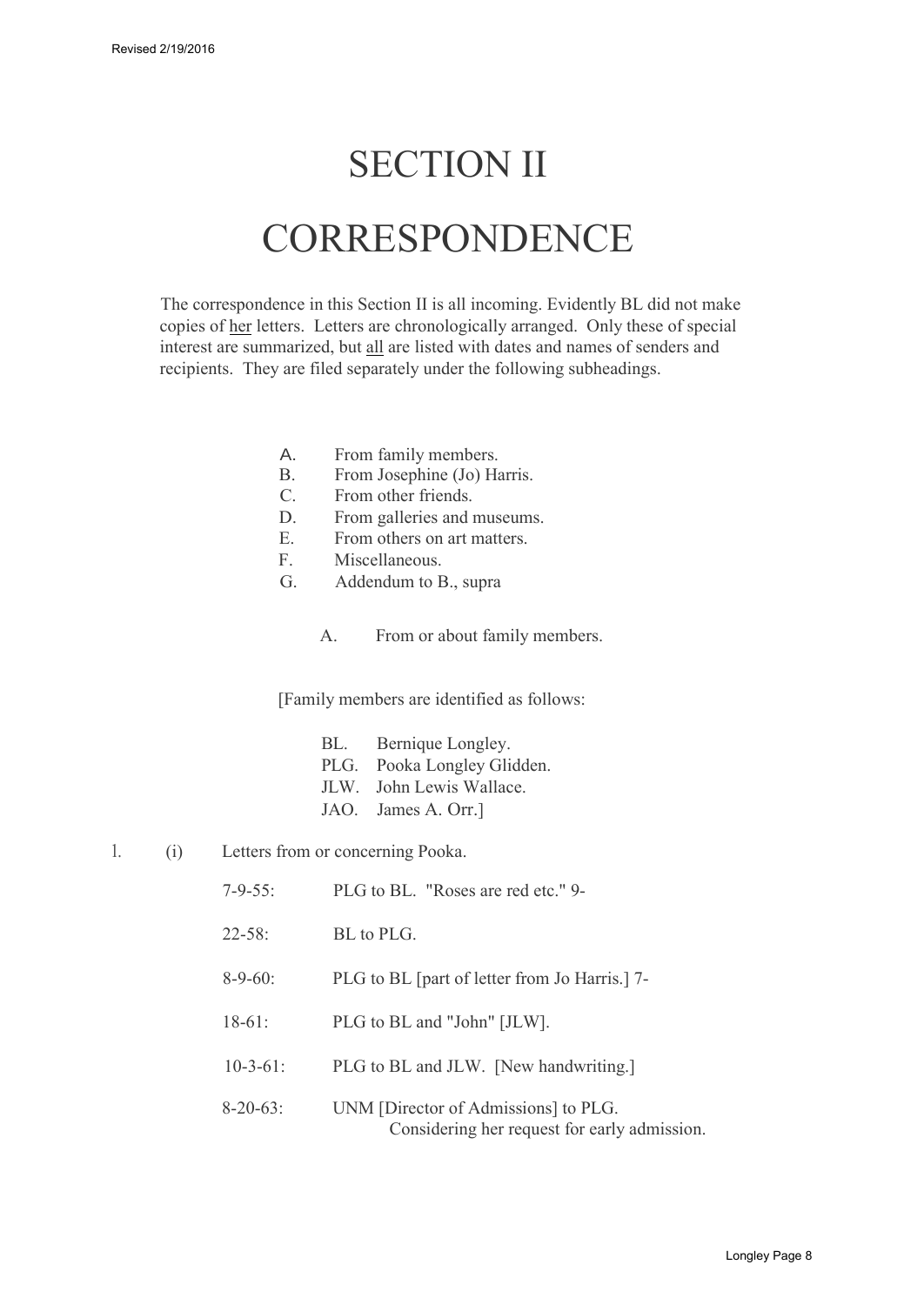## SECTION II

## **CORRESPONDENCE**

The correspondence in this Section II is all incoming. Evidently BL did not make copies of her letters. Letters are chronologically arranged. Only these of special interest are summarized, but all are listed with dates and names of senders and recipients. They are filed separately under the following subheadings.

- A. From family members.
- B. From Josephine (Jo) Harris.
- C. From other friends.
- D. From galleries and museums.
- E. From others on art matters.
- F. Miscellaneous.
- G. Addendum to B., supra
	- A. From or about family members.

[Family members are identified as follows:

| BL. | Bernique Longley.           |
|-----|-----------------------------|
|     | PLG. Pooka Longley Glidden. |
|     | JLW. John Lewis Wallace.    |
|     | JAO. James A. Orr.]         |

- 1. (i) Letters from or concerning Pooka.
	- 7-9-55: PLG to BL. "Roses are red etc." 9-
	- 22-58: BL to PLG.
	- 8-9-60: PLG to BL [part of letter from Jo Harris.] 7-
	- 18-61: PLG to BL and "John" [JLW].
	- 10-3-61: PLG to BL and JLW. [New handwriting.]
	- 8-20-63: UNM [Director of Admissions] to PLG. Considering her request for early admission.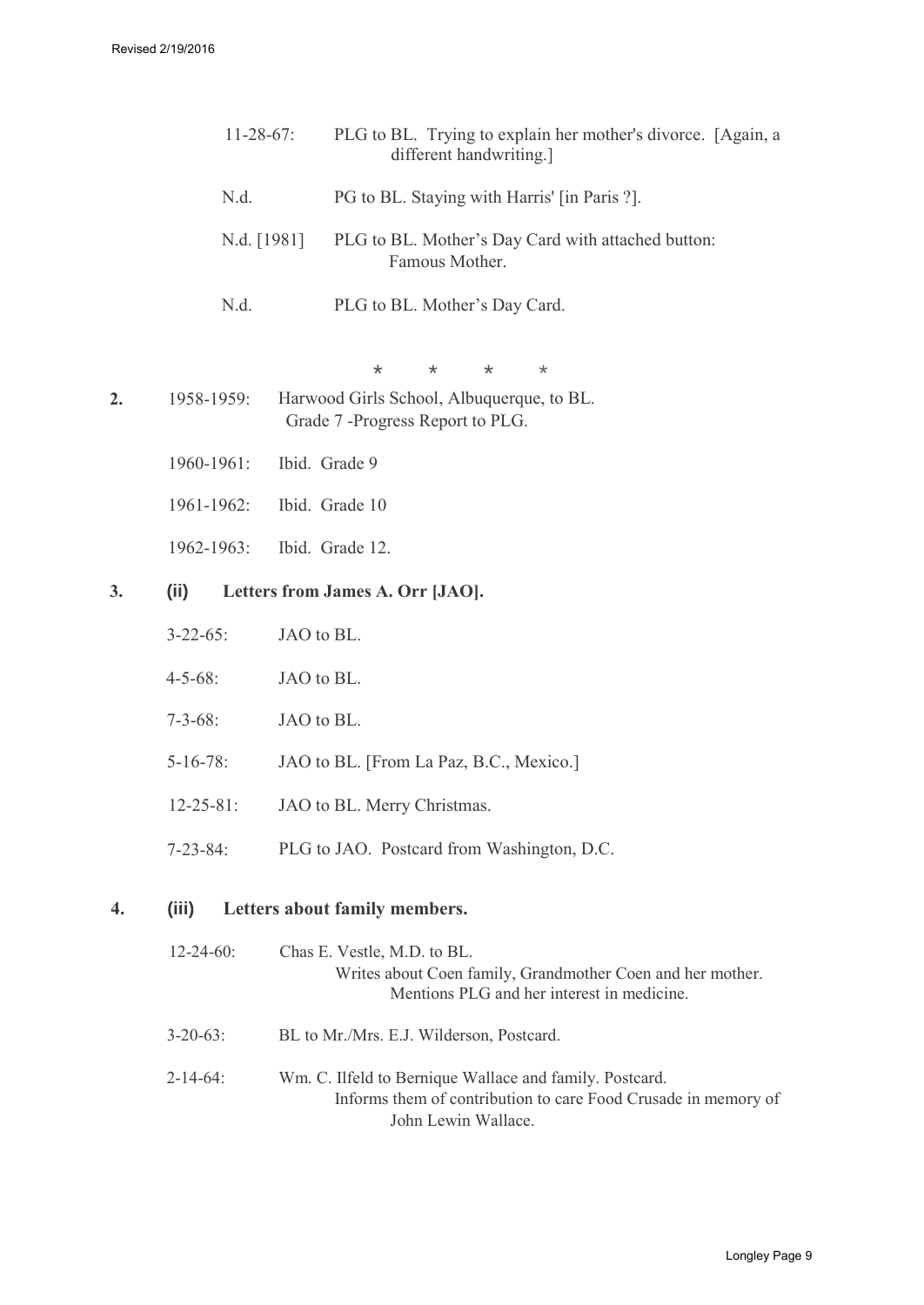|    | $11-28-67$ :     | PLG to BL. Trying to explain her mother's divorce. [Again, a<br>different handwriting.] |
|----|------------------|-----------------------------------------------------------------------------------------|
|    | N.d.             | PG to BL. Staying with Harris' [in Paris ?].                                            |
|    | N.d. [1981]      | PLG to BL. Mother's Day Card with attached button:<br>Famous Mother.                    |
|    | N.d.             | PLG to BL. Mother's Day Card.                                                           |
|    |                  | $\star$<br>$\ast$<br>$\star$<br>$^\star$                                                |
| 2. | 1958-1959:       | Harwood Girls School, Albuquerque, to BL.<br>Grade 7 - Progress Report to PLG.          |
|    | 1960-1961:       | Ibid. Grade 9                                                                           |
|    | 1961-1962:       | Ibid. Grade 10                                                                          |
|    | 1962-1963:       | Ibid. Grade 12.                                                                         |
| 3. | (ii)             | Letters from James A. Orr [JAO].                                                        |
|    | $3 - 22 - 65$ :  | JAO to BL.                                                                              |
|    | $4 - 5 - 68$ :   | JAO to BL.                                                                              |
|    | $7 - 3 - 68$ :   | JAO to BL.                                                                              |
|    | $5 - 16 - 78$ :  | JAO to BL. [From La Paz, B.C., Mexico.]                                                 |
|    | $12 - 25 - 81$ : | JAO to BL. Merry Christmas.                                                             |
|    | $7 - 23 - 84$ :  | PLG to JAO. Postcard from Washington, D.C.                                              |
| 4. | (iii)            | Letters about family members.                                                           |

| $12 - 24 - 60$ : | Chas E. Vestle, M.D. to BL.<br>Writes about Coen family, Grandmother Coen and her mother.<br>Mentions PLG and her interest in medicine.          |
|------------------|--------------------------------------------------------------------------------------------------------------------------------------------------|
| $3 - 20 - 63$ :  | BL to Mr./Mrs. E.J. Wilderson, Postcard.                                                                                                         |
| $2 - 14 - 64$ :  | Wm. C. Ilfeld to Bernique Wallace and family. Postcard.<br>Informs them of contribution to care Food Crusade in memory of<br>John Lewin Wallace. |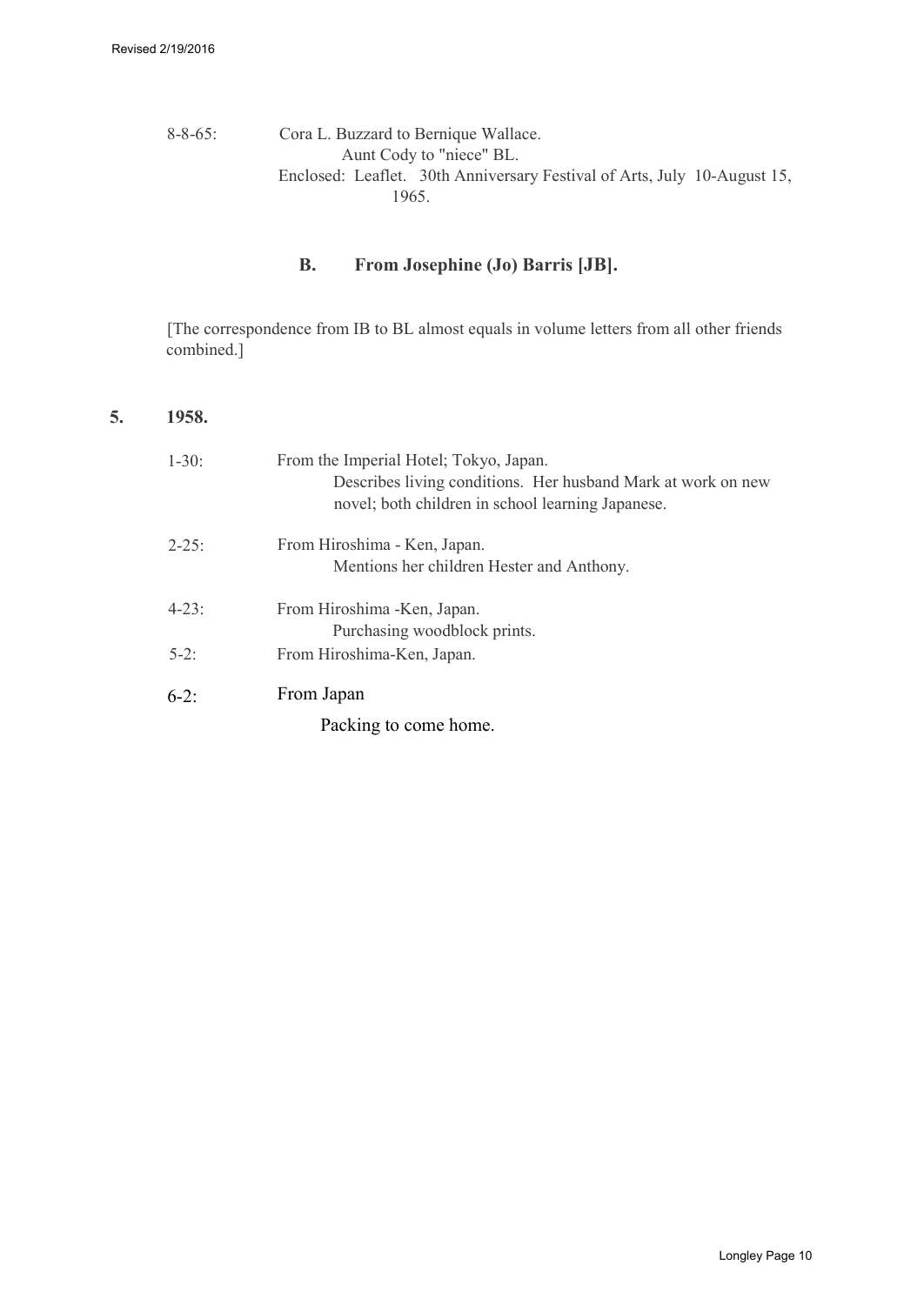### 8-8-65: Cora L. Buzzard to Bernique Wallace. Aunt Cody to "niece" BL. Enclosed: Leaflet. 30th Anniversary Festival of Arts, July 10-August 15, 1965.

## **B. From Josephine (Jo) Barris [JB].**

[The correspondence from IB to BL almost equals in volume letters from all other friends combined.]

#### **5. 1958.**

| $1 - 30$ : | From the Imperial Hotel; Tokyo, Japan.<br>Describes living conditions. Her husband Mark at work on new<br>novel; both children in school learning Japanese. |
|------------|-------------------------------------------------------------------------------------------------------------------------------------------------------------|
| $2 - 25$ : | From Hiroshima - Ken, Japan.                                                                                                                                |
|            | Mentions her children Hester and Anthony.                                                                                                                   |
| $4 - 23$ : | From Hiroshima - Ken, Japan.                                                                                                                                |
|            | Purchasing woodblock prints.                                                                                                                                |
| $5-2$ :    | From Hiroshima-Ken, Japan.                                                                                                                                  |
| $6-2$ :    | From Japan                                                                                                                                                  |
|            | Packing to come home.                                                                                                                                       |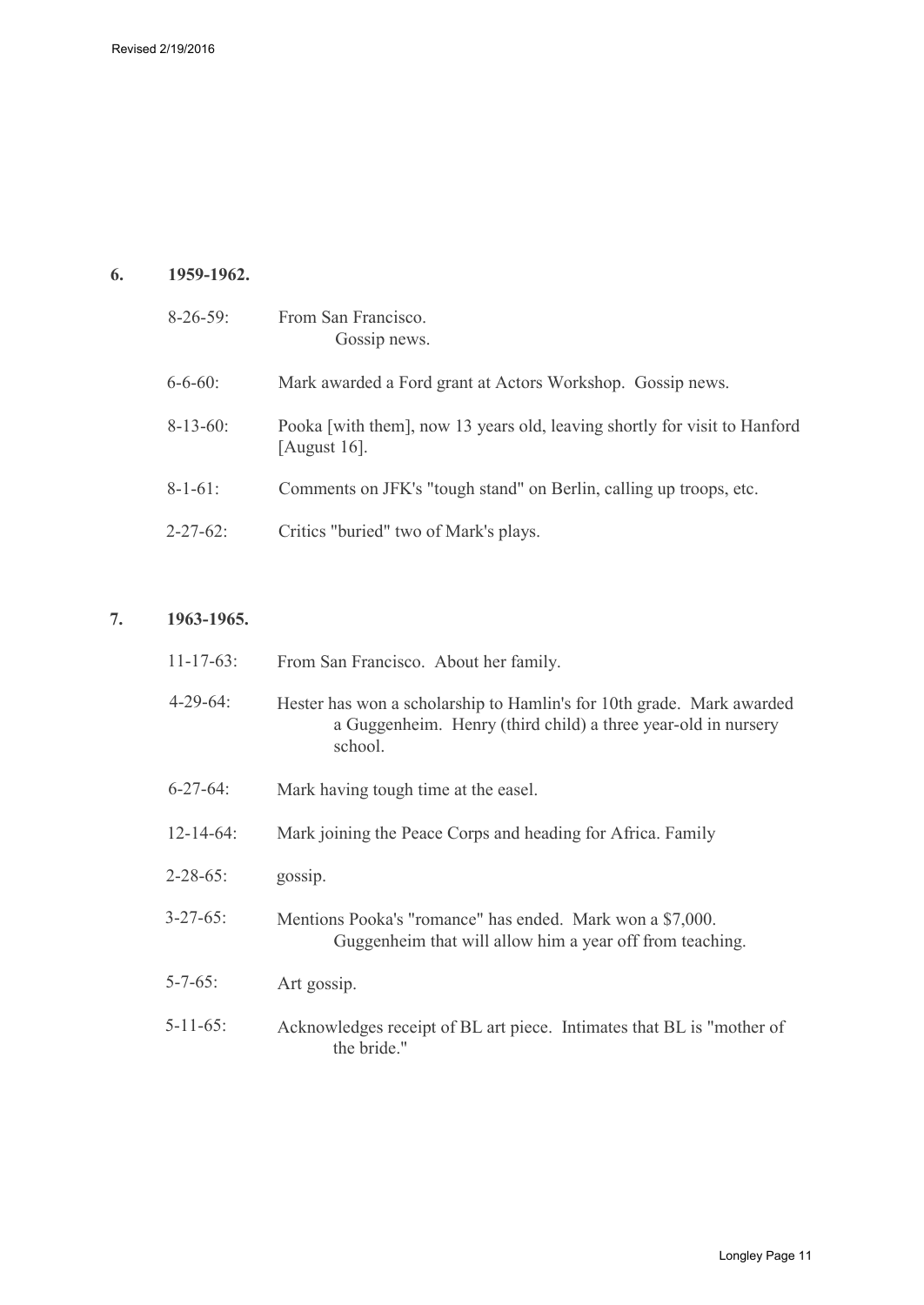## **6. 1959-1962.**

| $8-26-59$       | From San Francisco.<br>Gossip news.                                                          |
|-----------------|----------------------------------------------------------------------------------------------|
| $6 - 6 - 60$    | Mark awarded a Ford grant at Actors Workshop. Gossip news.                                   |
| $8-13-60$ :     | Pooka [with them], now 13 years old, leaving shortly for visit to Hanford<br>[August $16$ ]. |
| $8 - 1 - 61$ :  | Comments on JFK's "tough stand" on Berlin, calling up troops, etc.                           |
| $2 - 27 - 62$ : | Critics "buried" two of Mark's plays.                                                        |

## **7. 1963-1965.**

| $11 - 17 - 63$ : | From San Francisco. About her family.                                                                                                             |
|------------------|---------------------------------------------------------------------------------------------------------------------------------------------------|
| $4 - 29 - 64$    | Hester has won a scholarship to Hamlin's for 10th grade. Mark awarded<br>a Guggenheim. Henry (third child) a three year-old in nursery<br>school. |
| $6 - 27 - 64$    | Mark having tough time at the easel.                                                                                                              |
| $12 - 14 - 64$ : | Mark joining the Peace Corps and heading for Africa. Family                                                                                       |
| $2 - 28 - 65$ :  | gossip.                                                                                                                                           |
| $3 - 27 - 65$ :  | Mentions Pooka's "romance" has ended. Mark won a \$7,000.<br>Guggenheim that will allow him a year off from teaching.                             |
| $5 - 7 - 65$ :   | Art gossip.                                                                                                                                       |
| $5 - 11 - 65$ :  | Acknowledges receipt of BL art piece. Intimates that BL is "mother of<br>the bride."                                                              |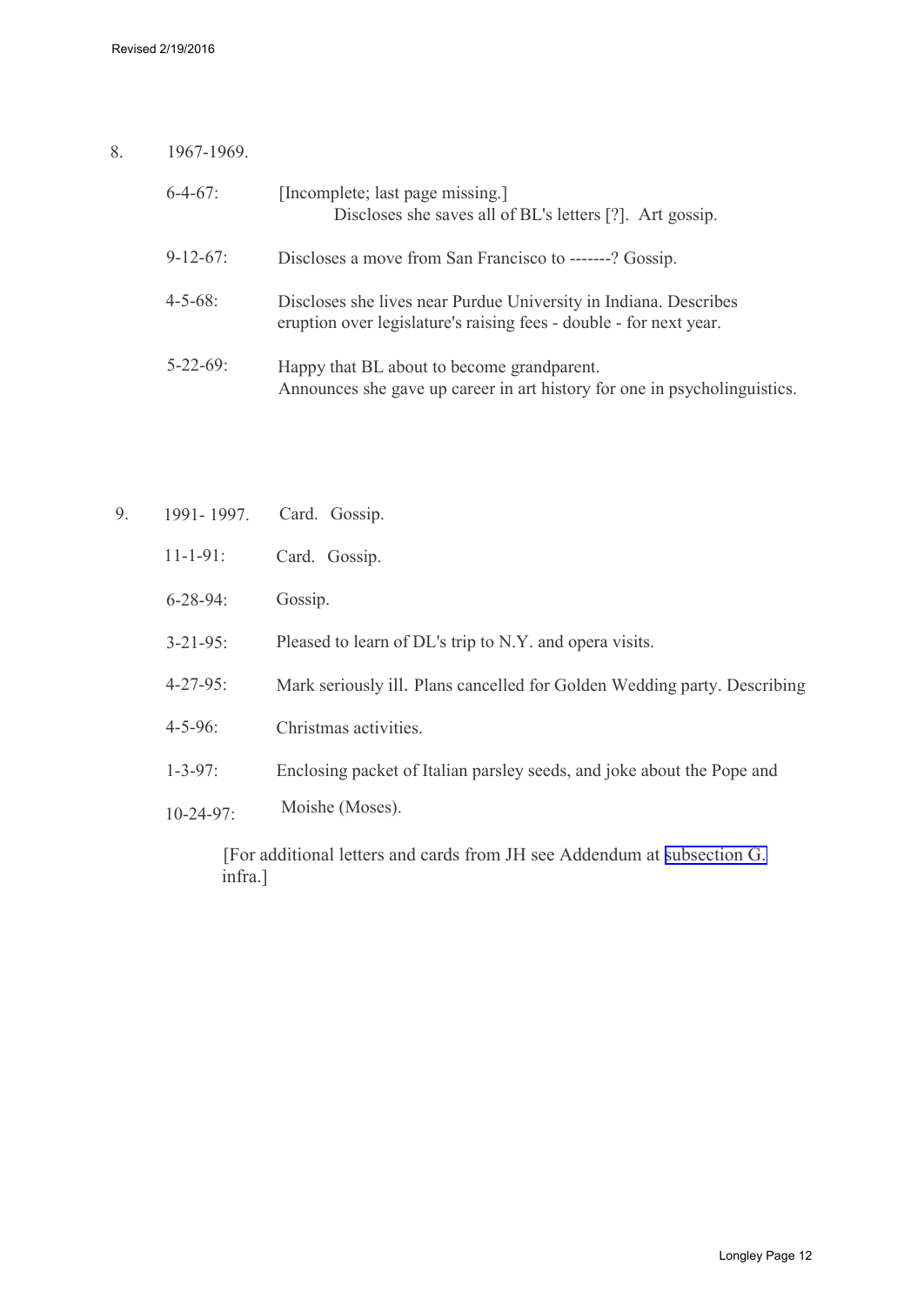8. 1967-1969.

| $6-4-67$ :      | [Incomplete; last page missing.]<br>Discloses she saves all of BL's letters [?]. Art gossip.                                           |
|-----------------|----------------------------------------------------------------------------------------------------------------------------------------|
| $9 - 12 - 67$ : | Discloses a move from San Francisco to -------? Gossip.                                                                                |
| $4 - 5 - 68$    | Discloses she lives near Purdue University in Indiana. Describes<br>eruption over legislature's raising fees - double - for next year. |
| $5 - 22 - 69$ : | Happy that BL about to become grandparent.<br>Announces she gave up career in art history for one in psycholinguistics.                |

| 9. | 1991-1997.      | Card. Gossip.                                                            |
|----|-----------------|--------------------------------------------------------------------------|
|    | $11 - 1 - 91$ : | Card. Gossip.                                                            |
|    | $6 - 28 - 94$ : | Gossip.                                                                  |
|    | $3 - 21 - 95$ : | Pleased to learn of DL's trip to N.Y. and opera visits.                  |
|    | $4 - 27 - 95$ : | Mark seriously ill. Plans cancelled for Golden Wedding party. Describing |
|    | $4 - 5 - 96$ :  | Christmas activities.                                                    |
|    | $1 - 3 - 97$ :  | Enclosing packet of Italian parsley seeds, and joke about the Pope and   |
|    | $10-24-97$ :    | Moishe (Moses).                                                          |

[For additional letters and cards from JH see Addendum at [subsection G.](#page-17-1)  infra.]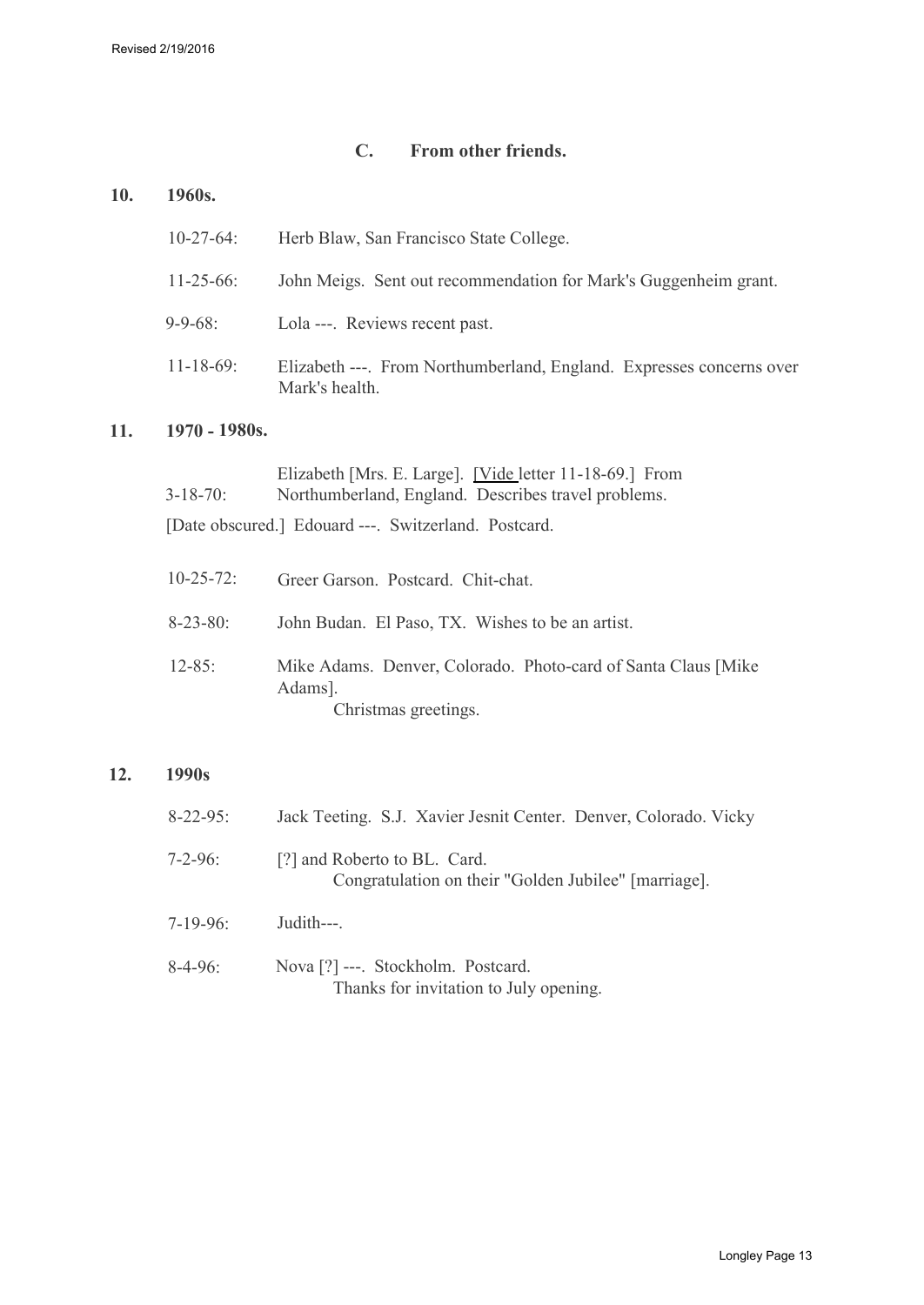## **C. From other friends.**

#### <span id="page-12-0"></span>**10. 1960s.**

| $10 - 27 - 64$ : | Herb Blaw, San Francisco State College.                                                |
|------------------|----------------------------------------------------------------------------------------|
| $11 - 25 - 66$ : | John Meigs. Sent out recommendation for Mark's Guggenheim grant.                       |
| $9 - 9 - 68$ :   | Lola ---. Reviews recent past.                                                         |
| $11 - 18 - 69$ : | Elizabeth ---. From Northumberland, England. Expresses concerns over<br>Mark's health. |

## **11. 1970 - 1980s.**

| $3 - 18 - 70$ :                                      | Elizabeth [Mrs. E. Large]. [Vide letter 11-18-69.] From<br>Northumberland, England. Describes travel problems. |  |
|------------------------------------------------------|----------------------------------------------------------------------------------------------------------------|--|
| [Date obscured.] Edouard ---. Switzerland. Postcard. |                                                                                                                |  |
| $10 - 25 - 72$ :                                     | Greer Garson. Postcard. Chit-chat.                                                                             |  |
| $8 - 23 - 80$ :                                      | John Budan. El Paso, TX. Wishes to be an artist.                                                               |  |
| $12 - 85$ :                                          | Mike Adams. Denver, Colorado. Photo-card of Santa Claus [Mike]<br>Adams].<br>Christmas greetings.              |  |

## **12. 1990s**

| $8 - 22 - 95$ : | Jack Teeting. S.J. Xavier Jesnit Center. Denver, Colorado. Vicky                     |
|-----------------|--------------------------------------------------------------------------------------|
| 7-2-96:         | [?] and Roberto to BL. Card.<br>Congratulation on their "Golden Jubilee" [marriage]. |
| $7-19-96$ :     | Judith---                                                                            |
| $8-4-96$ :      | Nova [?] ---. Stockholm. Postcard.<br>Thanks for invitation to July opening.         |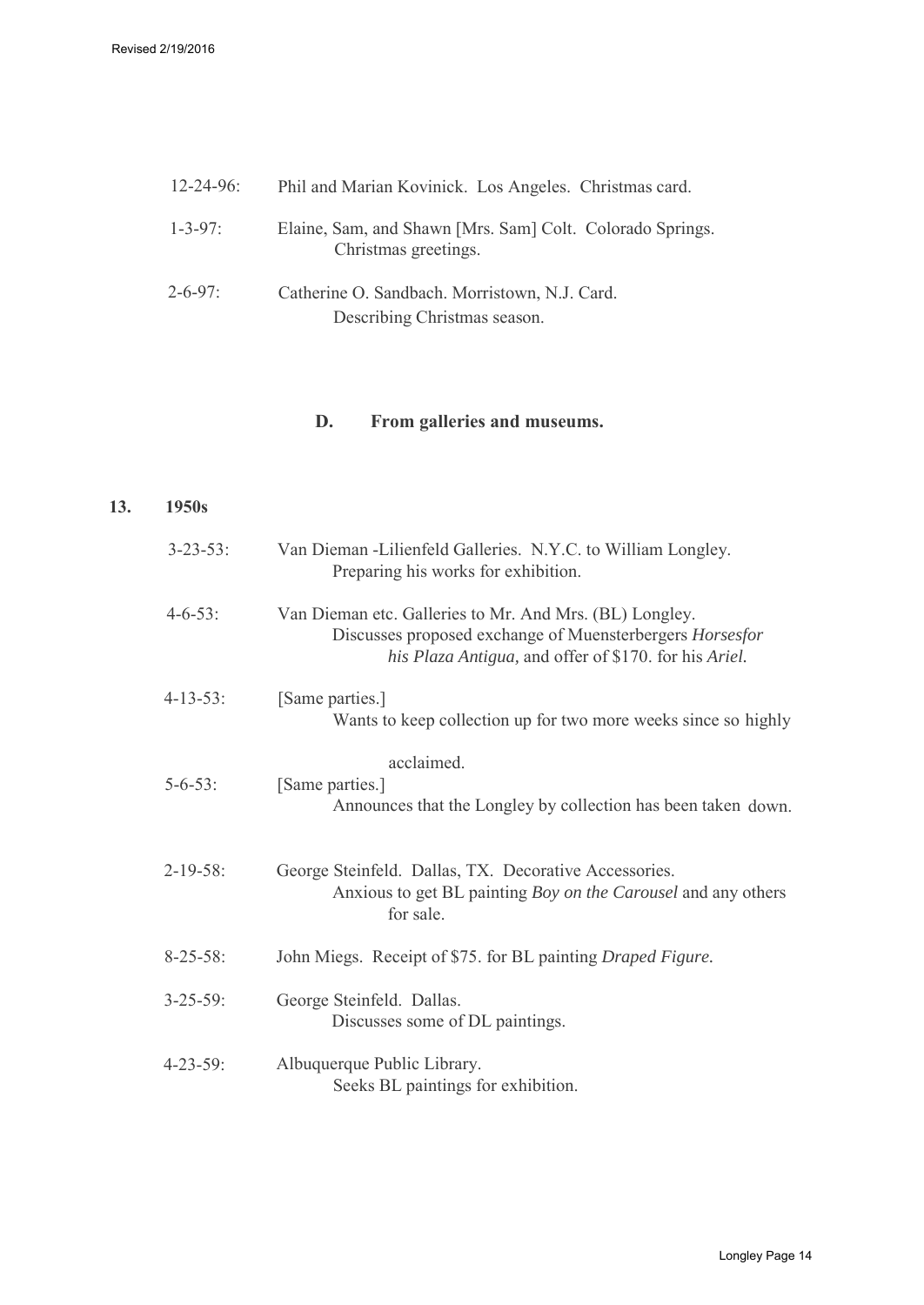| $12 - 24 - 96$ : | Phil and Marian Kovinick. Los Angeles. Christmas card.                            |
|------------------|-----------------------------------------------------------------------------------|
| $1 - 3 - 97$ :   | Elaine, Sam, and Shawn [Mrs. Sam] Colt. Colorado Springs.<br>Christmas greetings. |
| $2 - 6 - 97$     | Catherine O. Sandbach. Morristown, N.J. Card.<br>Describing Christmas season.     |

## <span id="page-13-0"></span>**D. From galleries and museums.**

### **13. 1950s**

| $3 - 23 - 53$ : | Van Dieman -Lilienfeld Galleries. N.Y.C. to William Longley.<br>Preparing his works for exhibition.                                                                          |
|-----------------|------------------------------------------------------------------------------------------------------------------------------------------------------------------------------|
| $4 - 6 - 53$ :  | Van Dieman etc. Galleries to Mr. And Mrs. (BL) Longley.<br>Discusses proposed exchange of Muensterbergers Horsesfor<br>his Plaza Antigua, and offer of \$170. for his Ariel. |
| $4 - 13 - 53$ : | [Same parties.]<br>Wants to keep collection up for two more weeks since so highly                                                                                            |
| $5 - 6 - 53$ :  | acclaimed.<br>[Same parties.]<br>Announces that the Longley by collection has been taken down.                                                                               |
| $2-19-58$ :     | George Steinfeld. Dallas, TX. Decorative Accessories.<br>Anxious to get BL painting Boy on the Carousel and any others<br>for sale.                                          |
| $8 - 25 - 58$ : | John Miegs. Receipt of \$75. for BL painting Draped Figure.                                                                                                                  |
| $3 - 25 - 59$ : | George Steinfeld. Dallas.<br>Discusses some of DL paintings.                                                                                                                 |
| $4 - 23 - 59$ : | Albuquerque Public Library.<br>Seeks BL paintings for exhibition.                                                                                                            |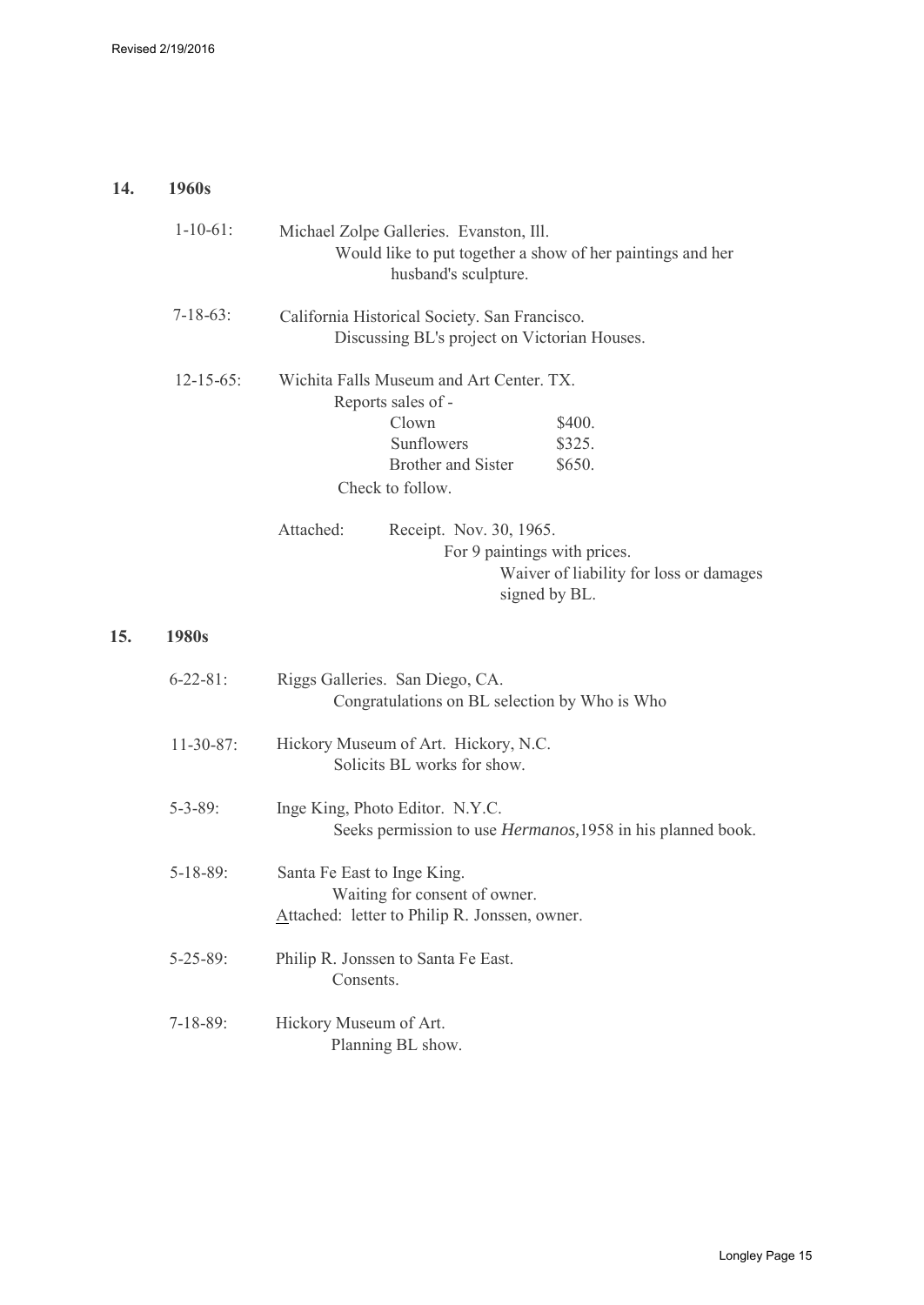## **14. 1960s**

**15. 1980s**

| $1 - 10 - 61$ :  | Michael Zolpe Galleries. Evanston, Ill.<br>Would like to put together a show of her paintings and her<br>husband's sculpture.                                        |
|------------------|----------------------------------------------------------------------------------------------------------------------------------------------------------------------|
| $7 - 18 - 63$ :  | California Historical Society. San Francisco.<br>Discussing BL's project on Victorian Houses.                                                                        |
| $12 - 15 - 65$ : | Wichita Falls Museum and Art Center. TX.<br>Reports sales of -<br>Clown<br>\$400.<br>Sunflowers<br>\$325.<br><b>Brother and Sister</b><br>\$650.<br>Check to follow. |
|                  | Attached:<br>Receipt. Nov. 30, 1965.<br>For 9 paintings with prices.<br>Waiver of liability for loss or damages<br>signed by BL.                                     |
| 1980s            |                                                                                                                                                                      |
| $6 - 22 - 81$ :  | Riggs Galleries. San Diego, CA.<br>Congratulations on BL selection by Who is Who                                                                                     |
| $11-30-87$ :     | Hickory Museum of Art. Hickory, N.C.<br>Solicits BL works for show.                                                                                                  |
| $5 - 3 - 89$ :   | Inge King, Photo Editor. N.Y.C.<br>Seeks permission to use <i>Hermanos</i> , 1958 in his planned book.                                                               |
| $5 - 18 - 89$ :  | Santa Fe East to Inge King.<br>Waiting for consent of owner.<br>Attached: letter to Philip R. Jonssen, owner.                                                        |
| $5 - 25 - 89$ :  | Philip R. Jonssen to Santa Fe East.<br>Consents.                                                                                                                     |
| $7-18-89$ :      | Hickory Museum of Art.<br>Planning BL show.                                                                                                                          |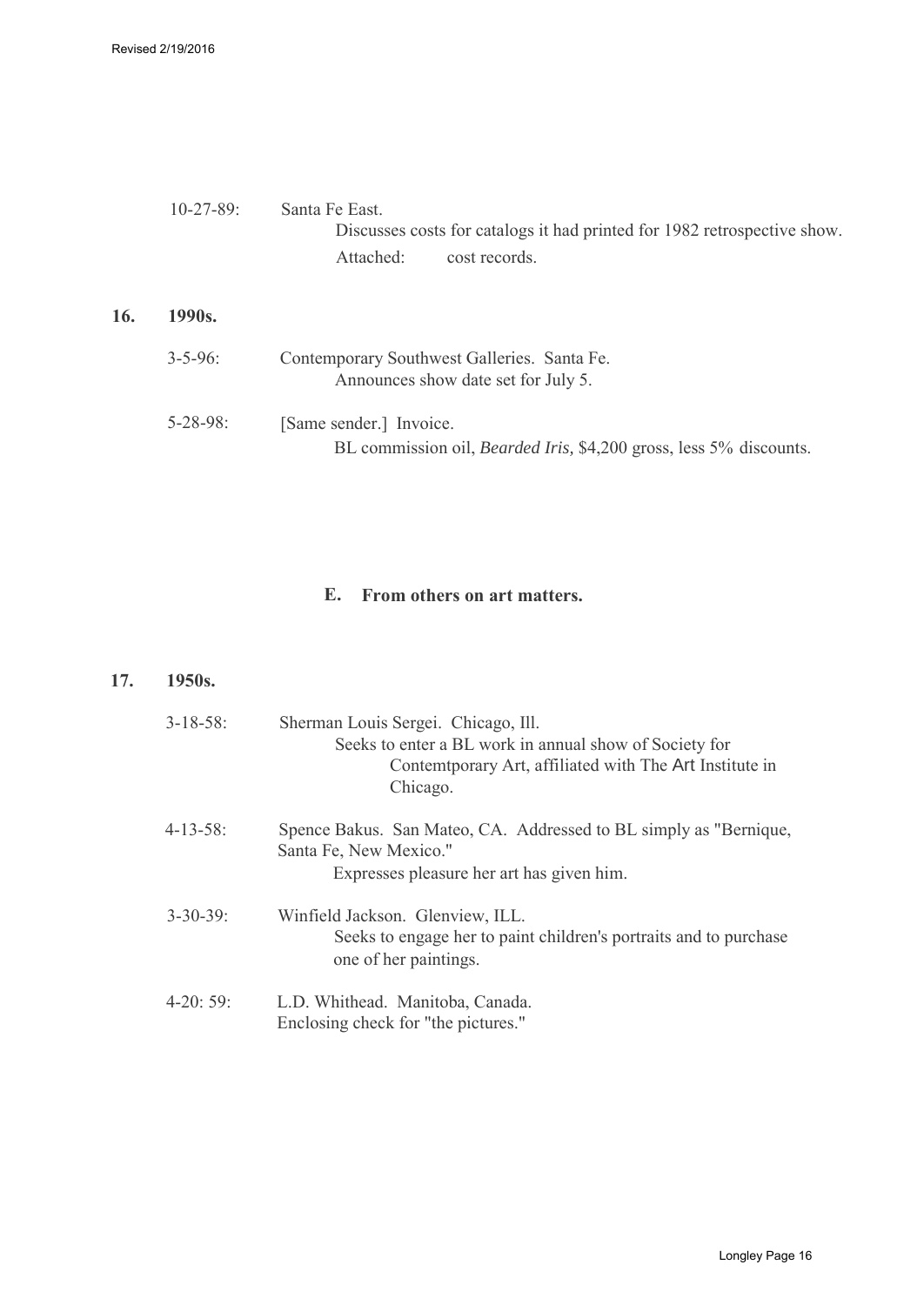|     | $10 - 27 - 89$ : | Santa Fe East<br>Discusses costs for catalogs it had printed for 1982 retrospective show.<br>Attached:<br>cost records |
|-----|------------------|------------------------------------------------------------------------------------------------------------------------|
| 16. | 1990s.           |                                                                                                                        |
|     | $3 - 5 - 96$     | Contemporary Southwest Galleries. Santa Fe.<br>Announces show date set for July 5.                                     |
|     | $5 - 28 - 98$ :  | [Same sender.] Invoice.<br>BL commission oil, <i>Bearded Iris</i> , \$4,200 gross, less 5% discounts.                  |

## **E. From others on art matters.**

#### **17. 1950s.**

| $3 - 18 - 58$ : | Sherman Louis Sergei. Chicago, Ill.<br>Seeks to enter a BL work in annual show of Society for<br>Contemt porary Art, affiliated with The Art Institute in<br>Chicago. |
|-----------------|-----------------------------------------------------------------------------------------------------------------------------------------------------------------------|
| 4-13-58:        | Spence Bakus. San Mateo, CA. Addressed to BL simply as "Bernique,<br>Santa Fe, New Mexico."<br>Expresses pleasure her art has given him.                              |
| $3 - 30 - 39$ : | Winfield Jackson. Glenview, ILL.<br>Seeks to engage her to paint children's portraits and to purchase<br>one of her paintings.                                        |
| $4-20:59:$      | L.D. Whithead. Manitoba, Canada.<br>Enclosing check for "the pictures."                                                                                               |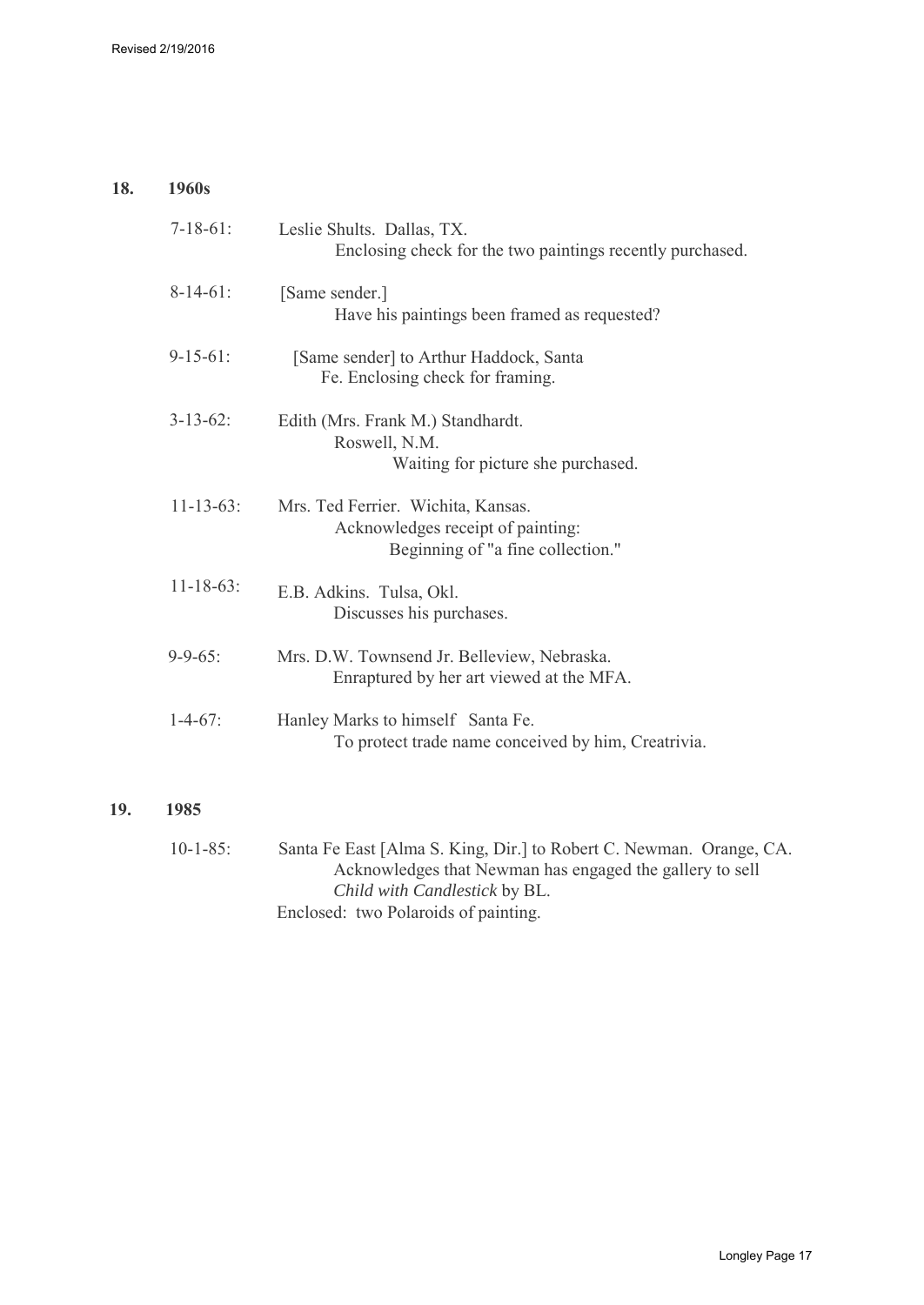#### **18. 1960s**

**19.** 

| $7-18-61$ :      | Leslie Shults. Dallas, TX.<br>Enclosing check for the two paintings recently purchased.                      |
|------------------|--------------------------------------------------------------------------------------------------------------|
| $8-14-61$ :      | [Same sender.]<br>Have his paintings been framed as requested?                                               |
| $9-15-61$ :      | [Same sender] to Arthur Haddock, Santa<br>Fe. Enclosing check for framing.                                   |
| $3 - 13 - 62$ :  | Edith (Mrs. Frank M.) Standhardt.<br>Roswell, N.M.<br>Waiting for picture she purchased.                     |
| $11 - 13 - 63$ : | Mrs. Ted Ferrier. Wichita, Kansas.<br>Acknowledges receipt of painting:<br>Beginning of "a fine collection." |
| $11 - 18 - 63$ : | E.B. Adkins. Tulsa, Okl.<br>Discusses his purchases.                                                         |
| $9 - 9 - 65$ :   | Mrs. D.W. Townsend Jr. Belleview, Nebraska.<br>Enraptured by her art viewed at the MFA.                      |
| $1-4-67$ :       | Hanley Marks to himself Santa Fe.<br>To protect trade name conceived by him, Creatrivia.                     |
| 1985             |                                                                                                              |

10-1-85: Santa Fe East [Alma S. King, Dir.] to Robert C. Newman. Orange, CA. Acknowledges that Newman has engaged the gallery to sell *Child with Candlestick* by BL. Enclosed: two Polaroids of painting.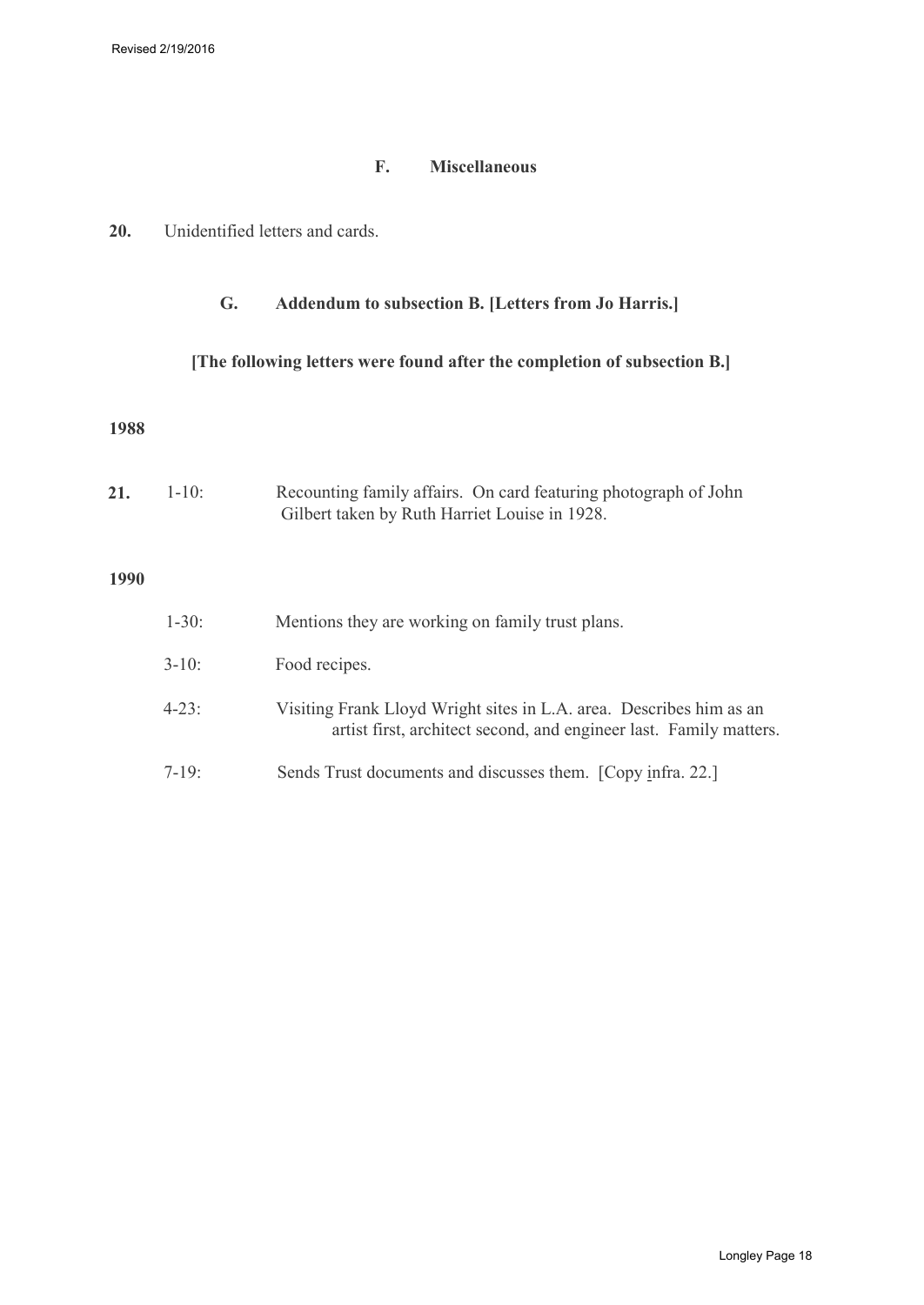## **F. Miscellaneous**

<span id="page-17-1"></span><span id="page-17-0"></span>

| 20.<br>Unidentified letters and cards. |
|----------------------------------------|
|----------------------------------------|

## **G. Addendum to subsection B. [Letters from Jo Harris.]**

## **[The following letters were found after the completion of subsection B.]**

#### **1988**

| 21.         | $1 - 10$ : | Recounting family affairs. On card featuring photograph of John<br>Gilbert taken by Ruth Harriet Louise in 1928.                          |
|-------------|------------|-------------------------------------------------------------------------------------------------------------------------------------------|
| <b>1990</b> |            |                                                                                                                                           |
|             | $1 - 30$ : | Mentions they are working on family trust plans.                                                                                          |
|             | $3-10$ :   | Food recipes.                                                                                                                             |
|             | $4 - 23$ : | Visiting Frank Lloyd Wright sites in L.A. area. Describes him as an<br>artist first, architect second, and engineer last. Family matters. |
|             | $7-19:$    | Sends Trust documents and discusses them. [Copy infra. 22.]                                                                               |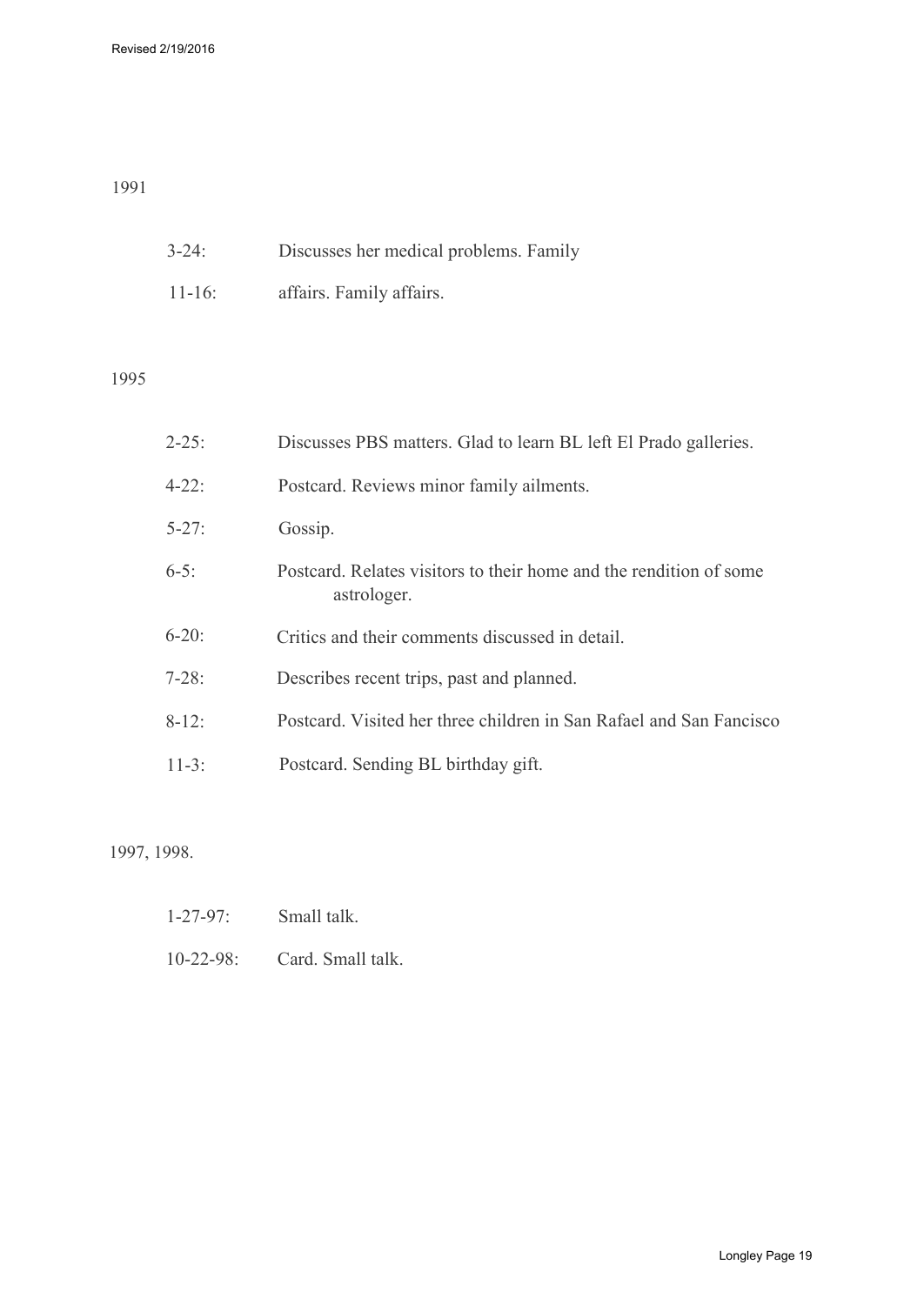## 1991

| $3-24$ :    | Discusses her medical problems. Family |
|-------------|----------------------------------------|
| $11 - 16$ : | affairs. Family affairs.               |

## 1995

| $2 - 25$ : | Discusses PBS matters. Glad to learn BL left El Prado galleries.                  |
|------------|-----------------------------------------------------------------------------------|
| $4 - 22$ : | Postcard. Reviews minor family ailments.                                          |
| $5 - 27$ : | Gossip.                                                                           |
| $6-5$ :    | Postcard. Relates visitors to their home and the rendition of some<br>astrologer. |
| $6-20$ :   | Critics and their comments discussed in detail.                                   |
| $7-28:$    | Describes recent trips, past and planned.                                         |
| $8-12$ :   | Postcard. Visited her three children in San Rafael and San Fancisco               |
| $11-3:$    | Postcard. Sending BL birthday gift.                                               |
|            |                                                                                   |

## 1997, 1998.

- 1-27-97: Small talk.
- 10-22-98: Card. Small talk.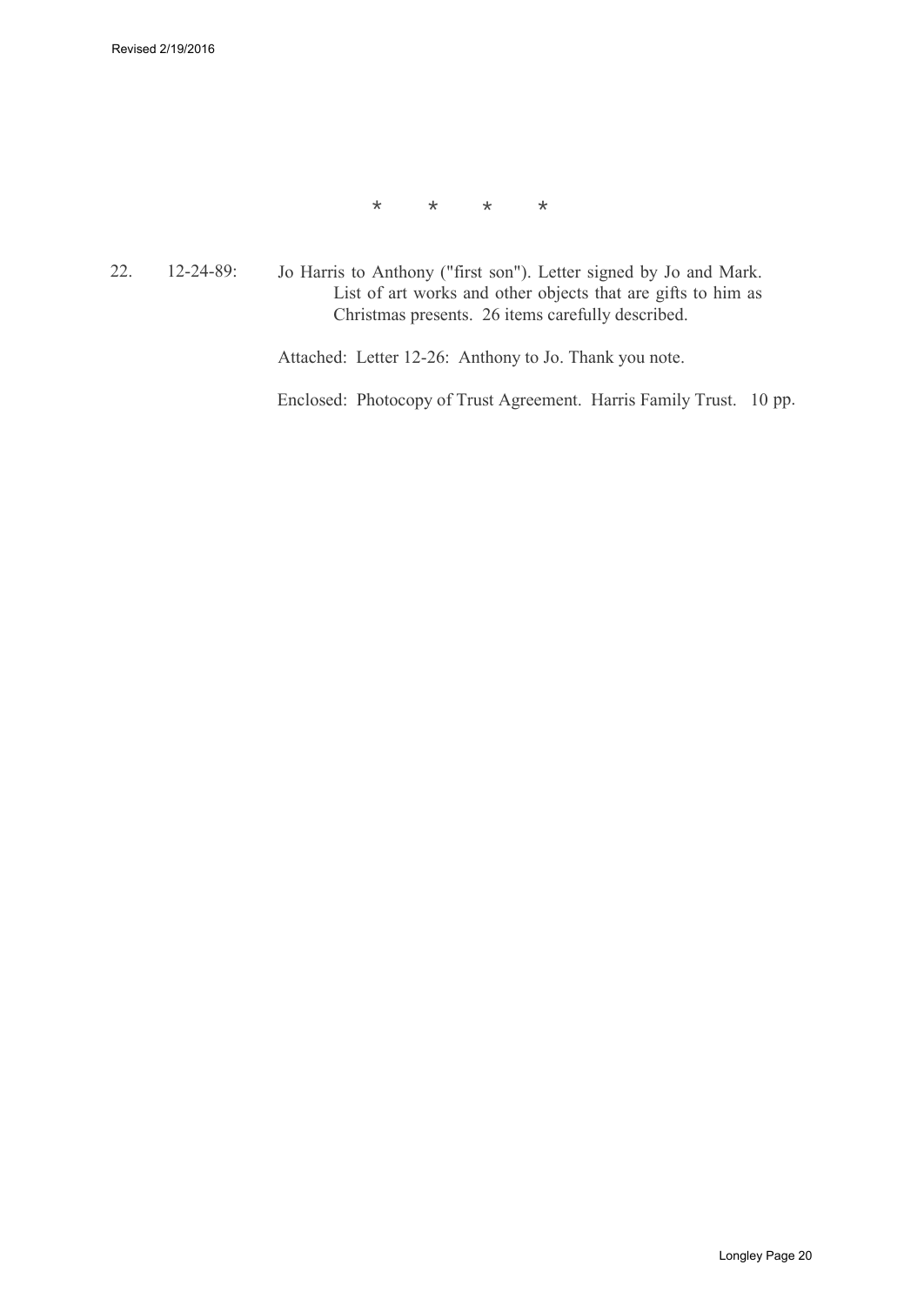\* \* \* \*

22. 12-24-89: Jo Harris to Anthony ("first son"). Letter signed by Jo and Mark. List of art works and other objects that are gifts to him as Christmas presents. 26 items carefully described.

Attached: Letter 12-26: Anthony to Jo. Thank you note.

Enclosed: Photocopy of Trust Agreement. Harris Family Trust. 10 pp.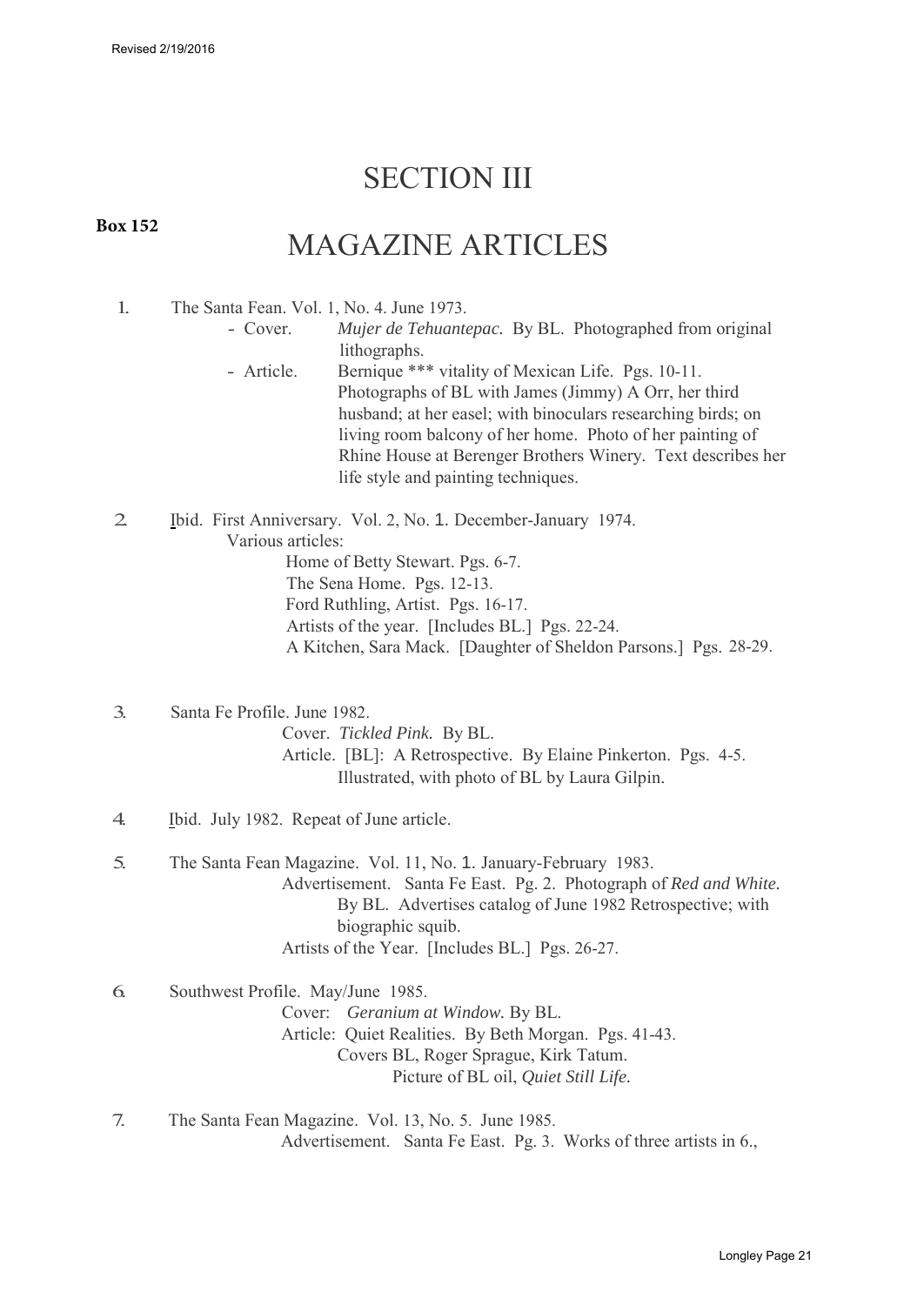## SECTION III

#### **Box 152**

## MAGAZINE ARTICLES

- 1. The Santa Fean. Vol. 1, No. 4. June 1973.
	- Cover. *Mujer de Tehuantepac.* By BL. Photographed from original lithographs.
	- Article. Bernique \*\*\* vitality of Mexican Life. Pgs. 10-11. Photographs of BL with James (Jimmy) A Orr, her third husband; at her easel; with binoculars researching birds; on living room balcony of her home. Photo of her painting of Rhine House at Berenger Brothers Winery. Text describes her life style and painting techniques.
- 2. Ibid. First Anniversary. Vol. 2, No. 1. December-January 1974. Various articles:

Home of Betty Stewart. Pgs. 6-7. The Sena Home. Pgs. 12-13. Ford Ruthling, Artist. Pgs. 16-17. Artists of the year. [Includes BL.] Pgs. 22-24. A Kitchen, Sara Mack. [Daughter of Sheldon Parsons.] Pgs. 28-29.

3. Santa Fe Profile. June 1982.

Cover. *Tickled Pink.* By BL. Article. [BL]: A Retrospective. By Elaine Pinkerton. Pgs. 4-5. Illustrated, with photo of BL by Laura Gilpin.

- 4. Ibid. July 1982. Repeat of June article.
- 5. The Santa Fean Magazine. Vol. 11, No. 1. January-February 1983. Advertisement. Santa Fe East. Pg. 2. Photograph of *Red and White.*  By BL. Advertises catalog of June 1982 Retrospective; with biographic squib. Artists of the Year. [Includes BL.] Pgs. 26-27.

6. Southwest Profile. May/June 1985. Cover: *Geranium at Window.* By BL. Article: Quiet Realities. By Beth Morgan. Pgs. 41-43. Covers BL, Roger Sprague, Kirk Tatum. Picture of BL oil, *Quiet Still Life.*

7. The Santa Fean Magazine. Vol. 13, No. 5. June 1985. Advertisement. Santa Fe East. Pg. 3. Works of three artists in 6.,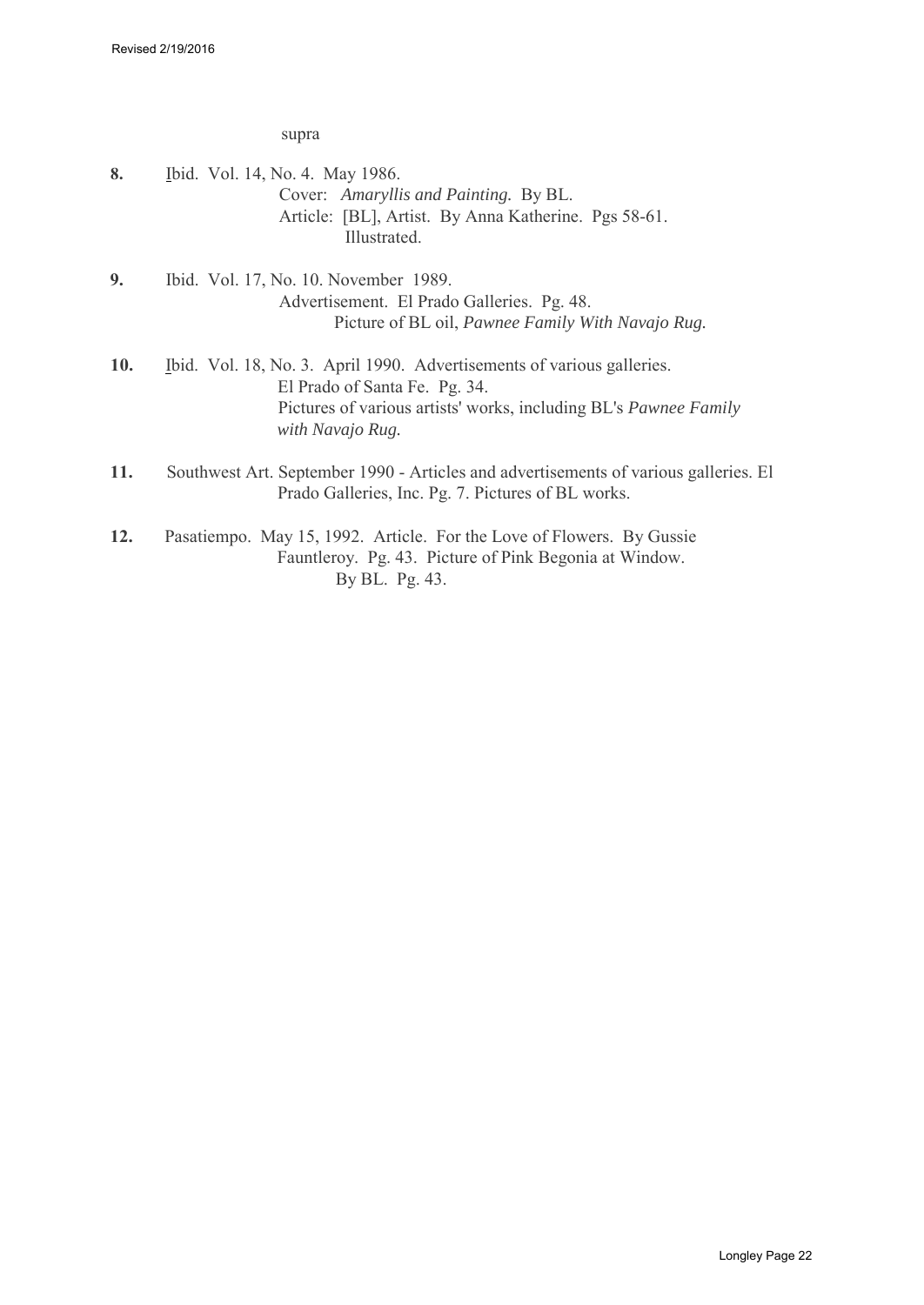supra

| 8.  | Ibid. Vol. 14, No. 4. May 1986.<br>Cover: Amaryllis and Painting. By BL.<br>Article: [BL], Artist. By Anna Katherine. Pgs 58-61.<br>Illustrated.                                                |
|-----|-------------------------------------------------------------------------------------------------------------------------------------------------------------------------------------------------|
| 9.  | Ibid. Vol. 17, No. 10. November 1989.<br>Advertisement. El Prado Galleries. Pg. 48.<br>Picture of BL oil, Pawnee Family With Navajo Rug.                                                        |
| 10. | Ibid. Vol. 18, No. 3. April 1990. Advertisements of various galleries.<br>El Prado of Santa Fe. Pg. 34.<br>Pictures of various artists' works, including BL's Pawnee Family<br>with Navajo Rug. |
| 11. | Southwest Art. September 1990 - Articles and advertisements of various galleries. El<br>Prado Galleries, Inc. Pg. 7. Pictures of BL works.                                                      |
| 12. | Pasatiempo. May 15, 1992. Article. For the Love of Flowers. By Gussie                                                                                                                           |

Fauntleroy. Pg. 43. Picture of Pink Begonia at Window. By BL. Pg. 43.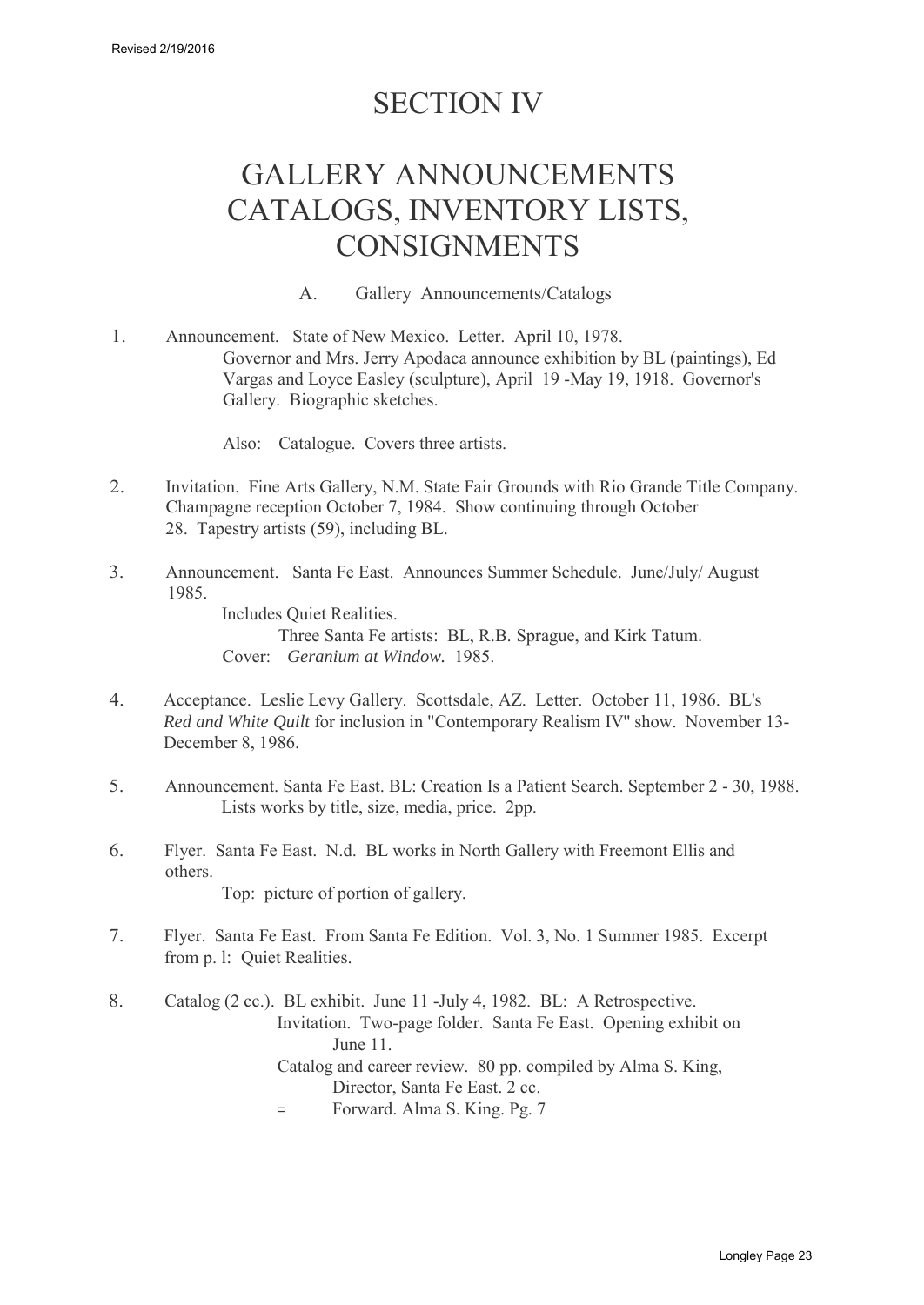## SECTION IV

## GALLERY ANNOUNCEMENTS CATALOGS, INVENTORY LISTS, CONSIGNMENTS

A. Gallery Announcements/Catalogs

<span id="page-22-0"></span>1. Announcement. State of New Mexico. Letter. April 10, 1978. Governor and Mrs. Jerry Apodaca announce exhibition by BL (paintings), Ed Vargas and Loyce Easley (sculpture), April 19 -May 19, 1918. Governor's Gallery. Biographic sketches.

Also: Catalogue. Covers three artists.

- 2. Invitation. Fine Arts Gallery, N.M. State Fair Grounds with Rio Grande Title Company. Champagne reception October 7, 1984. Show continuing through October 28. Tapestry artists (59), including BL.
- 3. Announcement. Santa Fe East. Announces Summer Schedule. June/July/ August 1985.

Includes Quiet Realities.

Three Santa Fe artists: BL, R.B. Sprague, and Kirk Tatum. Cover: *Geranium at Window.* 1985.

- 4. Acceptance. Leslie Levy Gallery. Scottsdale, AZ. Letter. October 11, 1986. BL's *Red and White Quilt* for inclusion in "Contemporary Realism IV'' show. November 13- December 8, 1986.
- 5. Announcement. Santa Fe East. BL: Creation Is a Patient Search. September 2 30, 1988. Lists works by title, size, media, price. 2pp.
- 6. Flyer. Santa Fe East. N.d. BL works in North Gallery with Freemont Ellis and others. Top: picture of portion of gallery.
- 7. Flyer. Santa Fe East. From Santa Fe Edition. Vol. 3, No. 1 Summer 1985. Excerpt from p. l: Quiet Realities.

8. Catalog (2 cc.). BL exhibit. June 11 -July 4, 1982. BL: A Retrospective. Invitation. Two-page folder. Santa Fe East. Opening exhibit on June 11. Catalog and career review. 80 pp. compiled by Alma S. King, Director, Santa Fe East. 2 cc. = Forward. Alma S. King. Pg. 7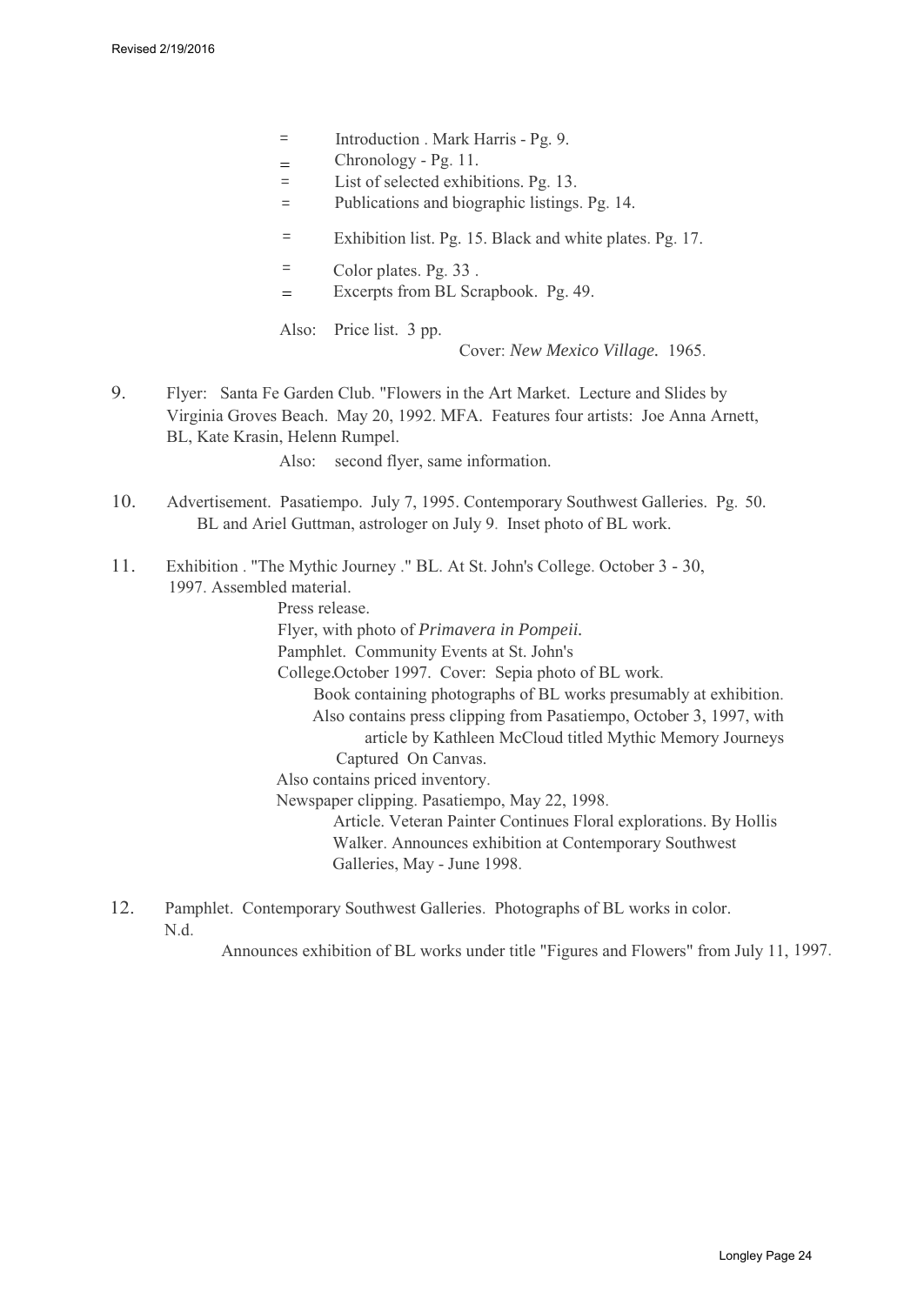- = Introduction . Mark Harris Pg. 9.
- Chronology Pg. 11. =
- = List of selected exhibitions. Pg. 13.
- = Publications and biographic listings. Pg. 14.
- = Exhibition list. Pg. 15. Black and white plates. Pg. 17.
- = Color plates. Pg. 33 .
- Excerpts from BL Scrapbook. Pg. 49. =

Also: Price list. 3 pp.

Cover: *New Mexico Village.* 1965.

9. Flyer: Santa Fe Garden Club. "Flowers in the Art Market. Lecture and Slides by Virginia Groves Beach. May 20, 1992. MFA. Features four artists: Joe Anna Arnett, BL, Kate Krasin, Helenn Rumpel.

Also: second flyer, same information.

- 10. Advertisement. Pasatiempo. July 7, 1995. Contemporary Southwest Galleries. Pg. 50. BL and Ariel Guttman, astrologer on July 9. Inset photo of BL work.
- 11. Exhibition . "The Mythic Journey ." BL. At St. John's College. October 3 30, 1997. Assembled material.

Press release. Flyer, with photo of *Primavera in Pompeii.* Pamphlet. Community Events at St. John's College.October 1997. Cover: Sepia photo of BL work. Book containing photographs of BL works presumably at exhibition. Also contains press clipping from Pasatiempo, October 3, 1997, with article by Kathleen McCloud titled Mythic Memory Journeys Captured On Canvas. Also contains priced inventory. Newspaper clipping. Pasatiempo, May 22, 1998. Article. Veteran Painter Continues Floral explorations. By Hollis Walker. Announces exhibition at Contemporary Southwest Galleries, May - June 1998.

12. Pamphlet. Contemporary Southwest Galleries. Photographs of BL works in color. N.d.

Announces exhibition of BL works under title "Figures and Flowers" from July 11, 1997.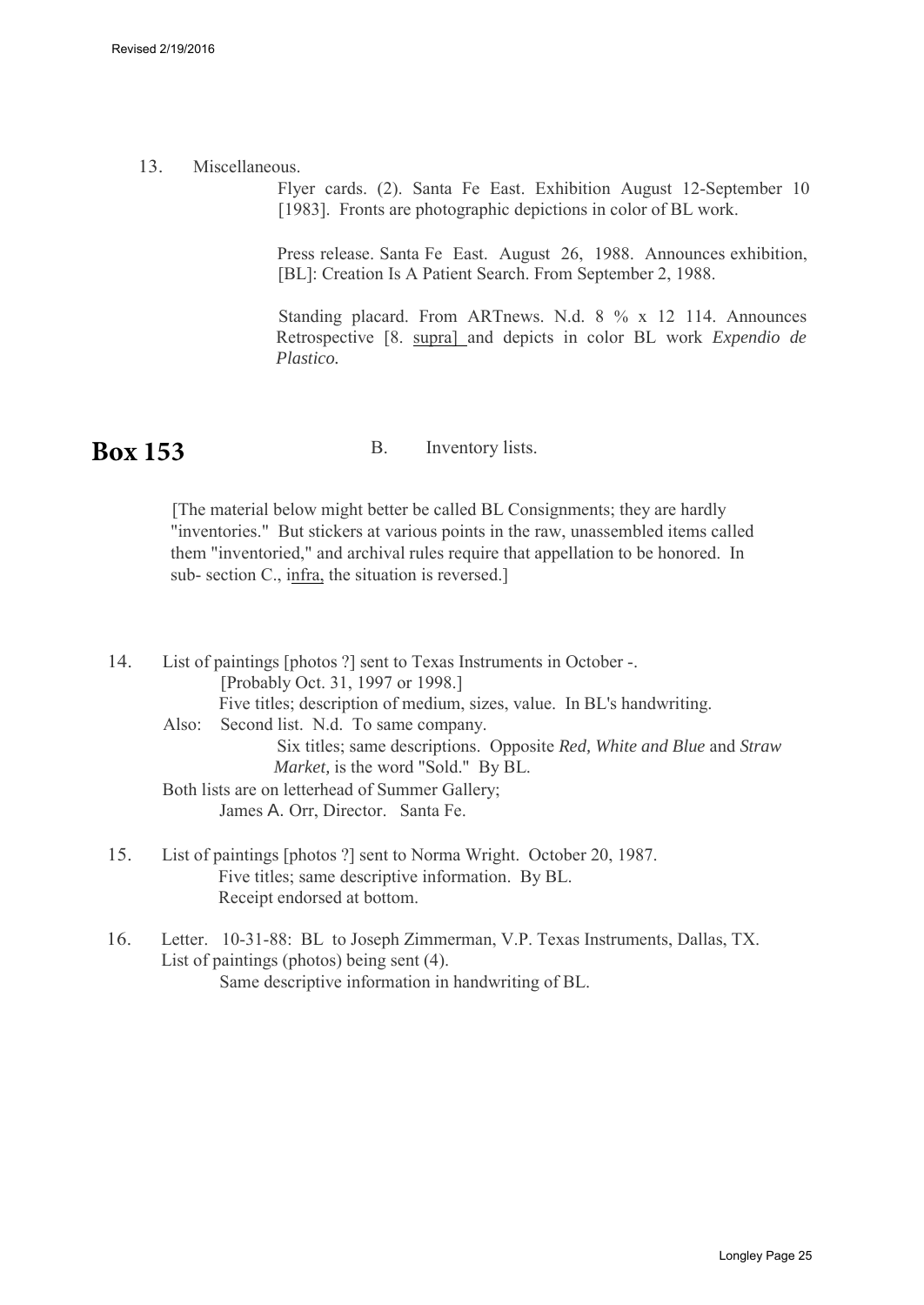13. Miscellaneous.

Flyer cards. (2). Santa Fe East. Exhibition August 12-September 10 [1983]. Fronts are photographic depictions in color of BL work.

Press release. Santa Fe East. August 26, 1988. Announces exhibition, [BL]: Creation Is A Patient Search. From September 2, 1988.

Standing placard. From ARTnews. N.d. 8 % x 12 114. Announces Retrospective [8. supra] and depicts in color BL work *Expendio de Plastico.*

#### <span id="page-24-0"></span>B. Inventory lists. **Box 153**

[The material below might better be called BL Consignments; they are hardly "inventories." But stickers at various points in the raw, unassembled items called them "inventoried," and archival rules require that appellation to be honored. In sub- section C., infra, the situation is reversed.]

| 14. | List of paintings [photos ?] sent to Texas Instruments in October -.   |
|-----|------------------------------------------------------------------------|
|     | [Probably Oct. 31, 1997 or 1998.]                                      |
|     | Five titles; description of medium, sizes, value. In BL's handwriting. |
|     | Also: Second list. N.d. To same company.                               |
|     | Six titles; same descriptions. Opposite Red, White and Blue and Straw  |
|     | <i>Market</i> , is the word "Sold." By BL.                             |
|     | Both lists are on letterhead of Summer Gallery;                        |
|     | James A. Orr, Director. Santa Fe.                                      |
|     |                                                                        |

- 15. List of paintings [photos ?] sent to Norma Wright. October 20, 1987. Five titles; same descriptive information. By BL. Receipt endorsed at bottom.
- 16. Letter. 10-31-88: BL to Joseph Zimmerman, V.P. Texas Instruments, Dallas, TX. List of paintings (photos) being sent (4). Same descriptive information in handwriting of BL.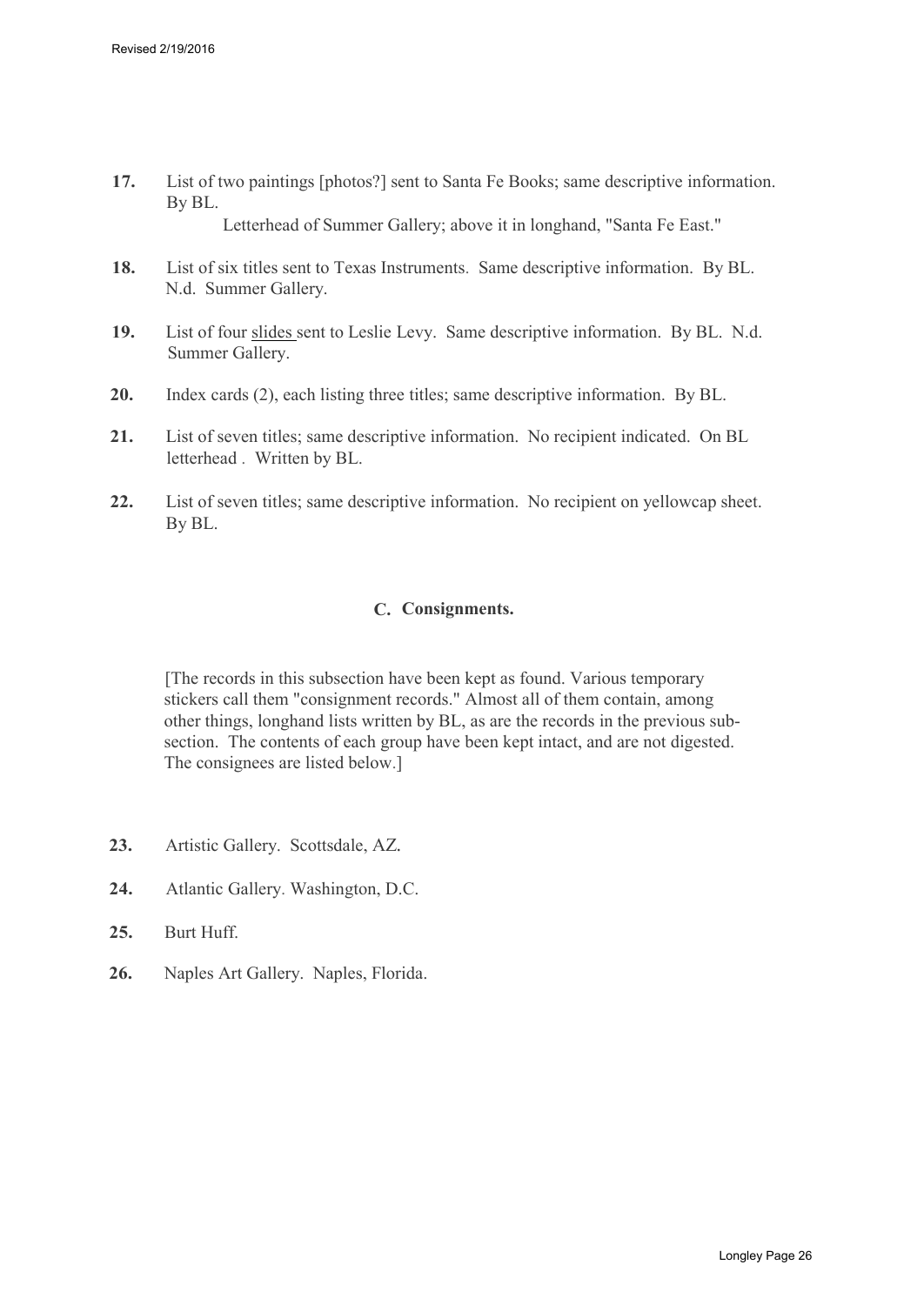- **17.** List of two paintings [photos?] sent to Santa Fe Books; same descriptive information. By BL. Letterhead of Summer Gallery; above it in longhand, "Santa Fe East."
- **18.** List of six titles sent to Texas Instruments. Same descriptive information. By BL. N.d. Summer Gallery.
- **19.** List of four slides sent to Leslie Levy. Same descriptive information. By BL. N.d. Summer Gallery.
- **20.** Index cards (2), each listing three titles; same descriptive information. By BL.
- **21.** List of seven titles; same descriptive information. No recipient indicated. On BL letterhead . Written by BL.
- **22.** List of seven titles; same descriptive information. No recipient on yellowcap sheet. By BL.

#### **C. Consignments.**

<span id="page-25-0"></span>[The records in this subsection have been kept as found. Various temporary stickers call them "consignment records." Almost all of them contain, among other things, longhand lists written by BL, as are the records in the previous subsection. The contents of each group have been kept intact, and are not digested. The consignees are listed below.]

- **23.** Artistic Gallery. Scottsdale, AZ*.*
- **24.** Atlantic Gallery. Washington, D.C.
- **25.** Burt Huff.
- **26.** Naples Art Gallery. Naples, Florida.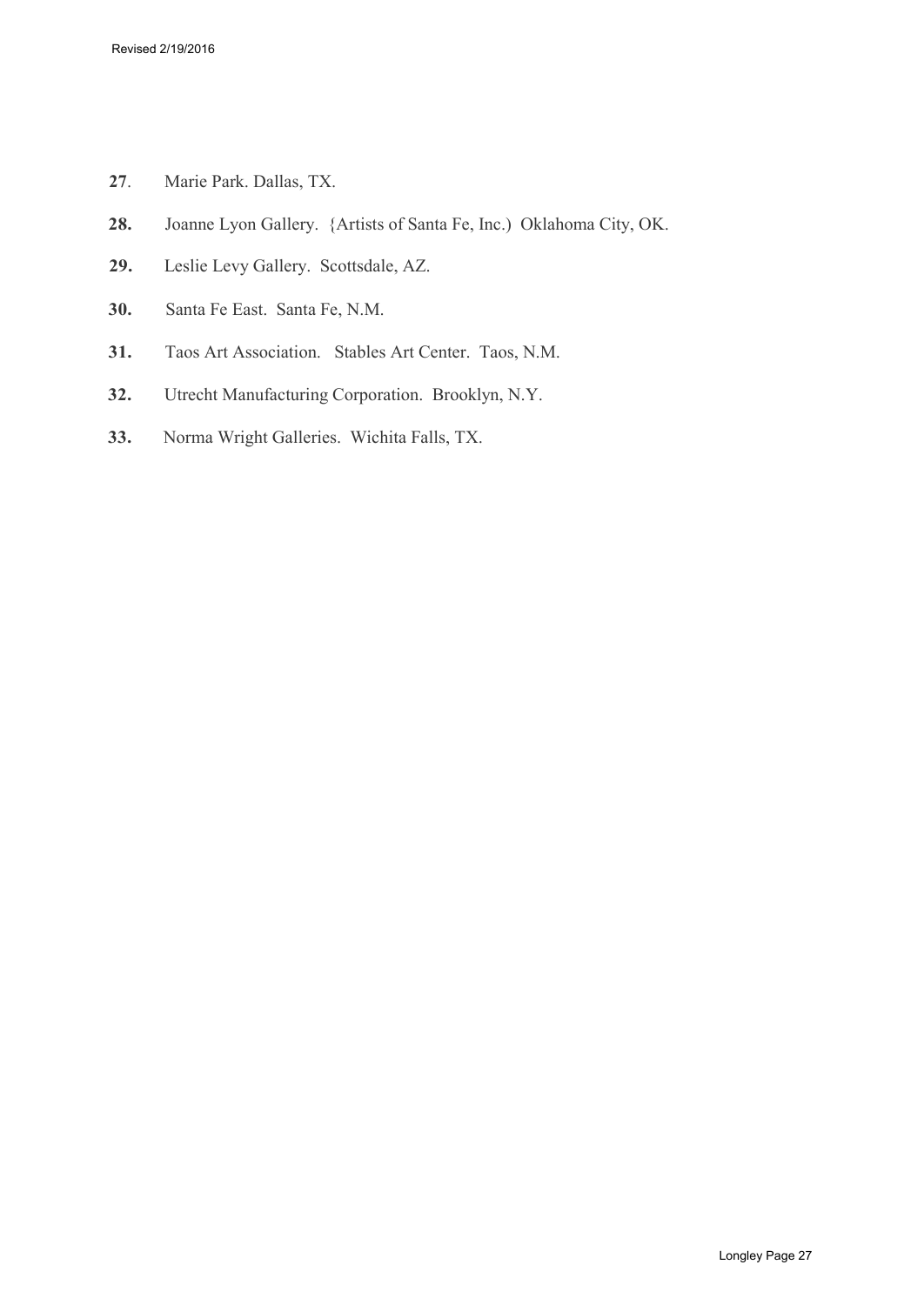- **27**. Marie Park. Dallas, TX.
- **28.** Joanne Lyon Gallery. {Artists of Santa Fe, Inc.) Oklahoma City, OK.
- **29.** Leslie Levy Gallery. Scottsdale, AZ.
- **30.** Santa Fe East. Santa Fe, N.M.
- **31.** Taos Art Association. Stables Art Center. Taos, N.M.
- **32.** Utrecht Manufacturing Corporation. Brooklyn, N.Y.
- **33.** Norma Wright Galleries. Wichita Falls, TX.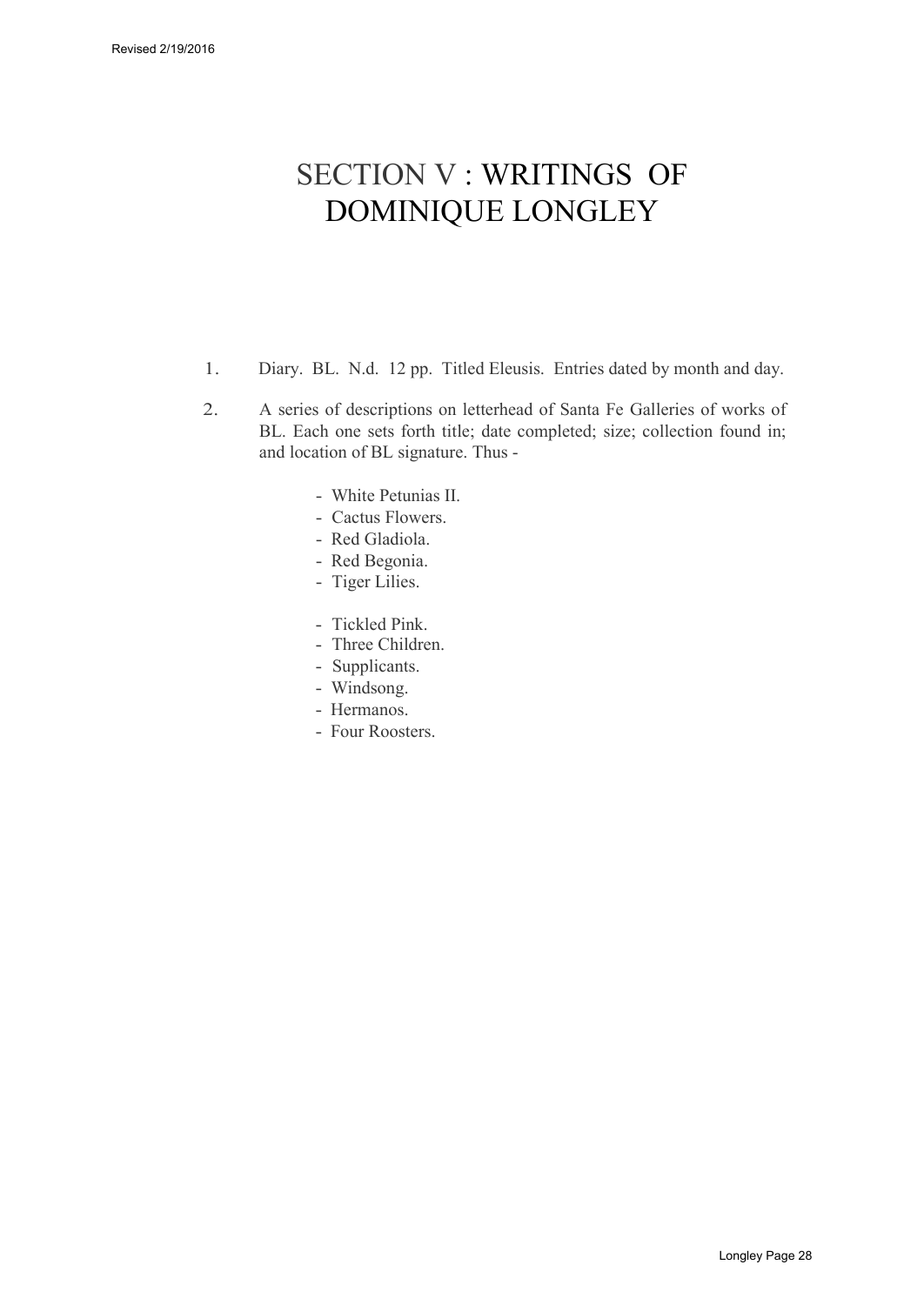## SECTION V : WRITINGS OF DOMINIQUE LONGLEY

- 1. Diary. BL. N.d. 12 pp. Titled Eleusis. Entries dated by month and day.
- 2. A series of descriptions on letterhead of Santa Fe Galleries of works of BL. Each one sets forth title; date completed; size; collection found in; and location of BL signature. Thus -
	- White Petunias II.
	- Cactus Flowers.
	- Red Gladiola.
	- Red Begonia.
	- Tiger Lilies.
	- Tickled Pink.
	- Three Children.
	- Supplicants.
	- Windsong.
	- Hermanos.
	- Four Roosters.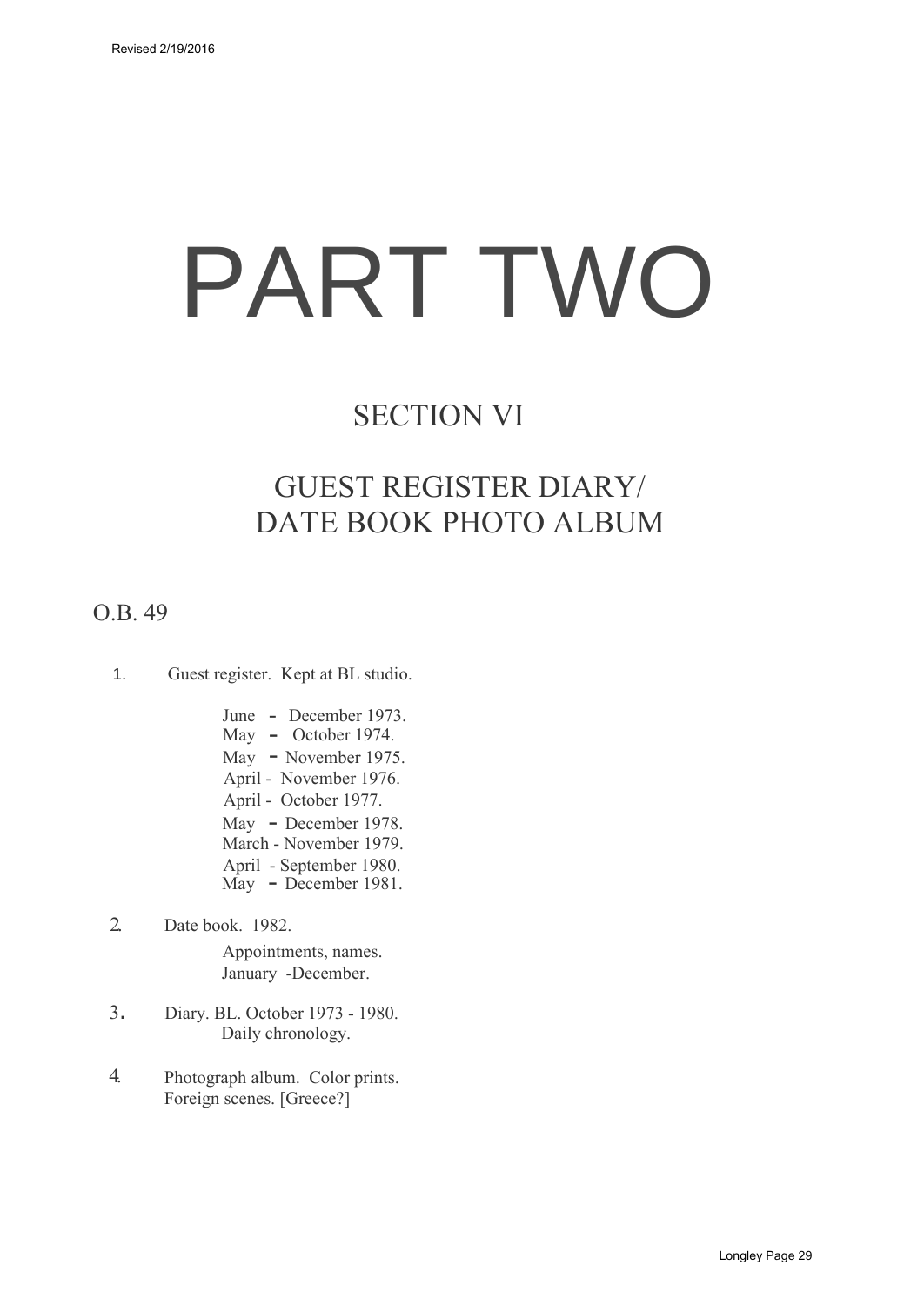# PART TWO

## SECTION VI

## GUEST REGISTER DIARY/ DATE BOOK PHOTO ALBUM

## O.B. 49

- 1. Guest register. Kept at BL studio.
	- June December 1973. May - October 1974. May - November 1975. April - November 1976. April - October 1977. May - December 1978. March - November 1979. April - September 1980.
	- May December 1981.
- 2. Date book. 1982.

Appointments, names. January -December.

- 3. Diary. BL. October 1973 1980. Daily chronology.
- 4. Photograph album. Color prints. Foreign scenes. [Greece?]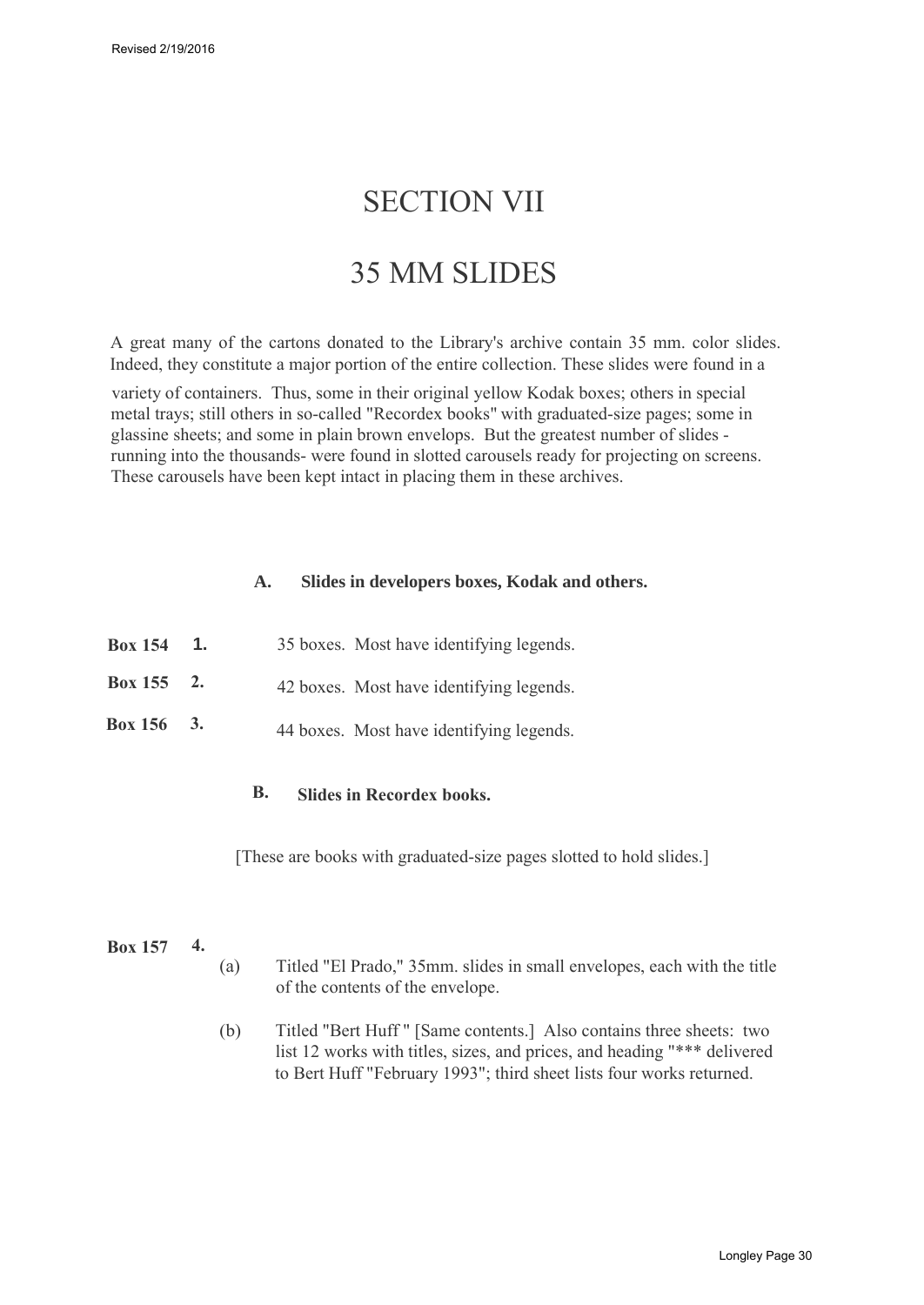## SECTION VII

## 35 MM SLIDES

A great many of the cartons donated to the Library's archive contain 35 mm. color slides. Indeed, they constitute a major portion of the entire collection. These slides were found in a

variety of containers. Thus, some in their original yellow Kodak boxes; others in special metal trays; still others in so-called "Recordex books" with graduated-size pages; some in glassine sheets; and some in plain brown envelops. But the greatest number of slides running into the thousands- were found in slotted carousels ready for projecting on screens. These carousels have been kept intact in placing them in these archives.

#### **A. Slides in developers boxes, Kodak and others.**

| <b>Box 154</b> | $\mathbf{1}$ . | 35 boxes. Most have identifying legends. |
|----------------|----------------|------------------------------------------|
| Box 155 $2.$   |                | 42 boxes. Most have identifying legends. |
| Box 156 3.     |                | 44 boxes. Most have identifying legends. |

## **B. Slides in Recordex books.**

[These are books with graduated-size pages slotted to hold slides.]

#### **Box 157 4.**

- (a) Titled "El Prado," 35mm. slides in small envelopes, each with the title of the contents of the envelope.
- (b) Titled "Bert Huff " [Same contents.] Also contains three sheets: two list 12 works with titles, sizes, and prices, and heading "\*\*\* delivered to Bert Huff "February 1993"; third sheet lists four works returned.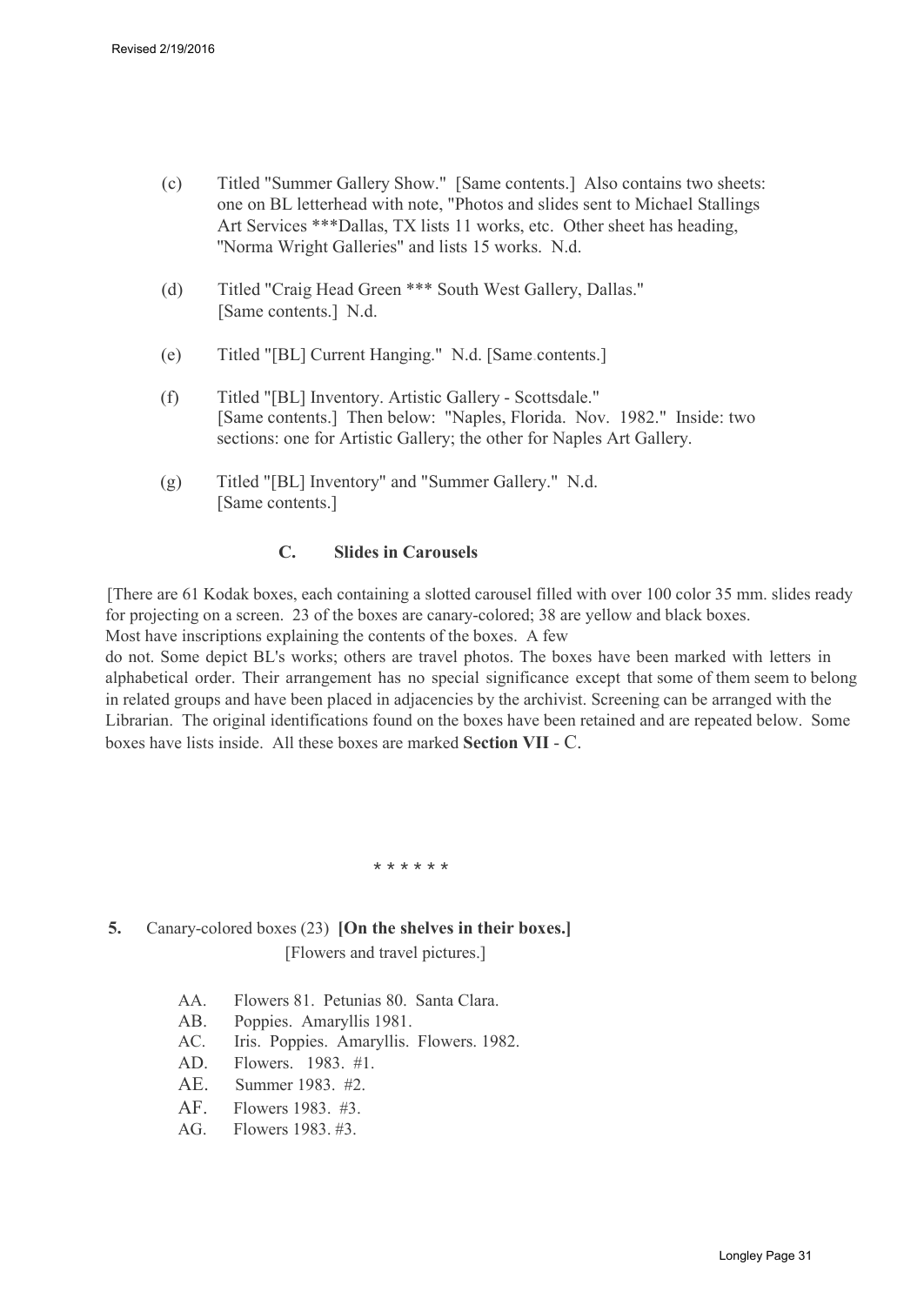- (c) Titled "Summer Gallery Show." [Same contents.] Also contains two sheets: one on BL letterhead with note, "Photos and slides sent to Michael Stallings Art Services \*\*\*Dallas, TX lists 11 works, etc. Other sheet has heading, ''Norma Wright Galleries" and lists 15 works. N.d.
- (d) Titled "Craig Head Green \*\*\* South West Gallery, Dallas." [Same contents.] N.d.
- (e) Titled "[BL] Current Hanging." N.d. [Same.contents.]
- (f) Titled "[BL] Inventory. Artistic Gallery Scottsdale." [Same contents.] Then below: "Naples, Florida. Nov. 1982." Inside: two sections: one for Artistic Gallery; the other for Naples Art Gallery.
- (g) Titled "[BL] Inventory" and "Summer Gallery." N.d. [Same contents.]

#### **C. Slides in Carousels**

[There are 61 Kodak boxes, each containing a slotted carousel filled with over 100 color 35 mm. slides ready for projecting on a screen. 23 of the boxes are canary-colored; 38 are yellow and black boxes. Most have inscriptions explaining the contents of the boxes. A few

do not. Some depict BL's works; others are travel photos. The boxes have been marked with letters in alphabetical order. Their arrangement has no special significance except that some of them seem to belong in related groups and have been placed in adjacencies by the archivist. Screening can be arranged with the Librarian. The original identifications found on the boxes have been retained and are repeated below. Some boxes have lists inside. All these boxes are marked **Section VII** - C.

\* \* \* \* \* \*

## **5.** Canary-colored boxes (23) **[On the shelves in their boxes.]**

[Flowers and travel pictures.]

- AA. Flowers 81. Petunias 80. Santa Clara.
- AB. Poppies. Amaryllis 1981.
- AC. Iris. Poppies. Amaryllis. Flowers. 1982.
- AD. Flowers. 1983. #1.
- AE. Summer 1983. #2.
- AF. Flowers 1983. #3.
- AG. Flowers 1983. #3.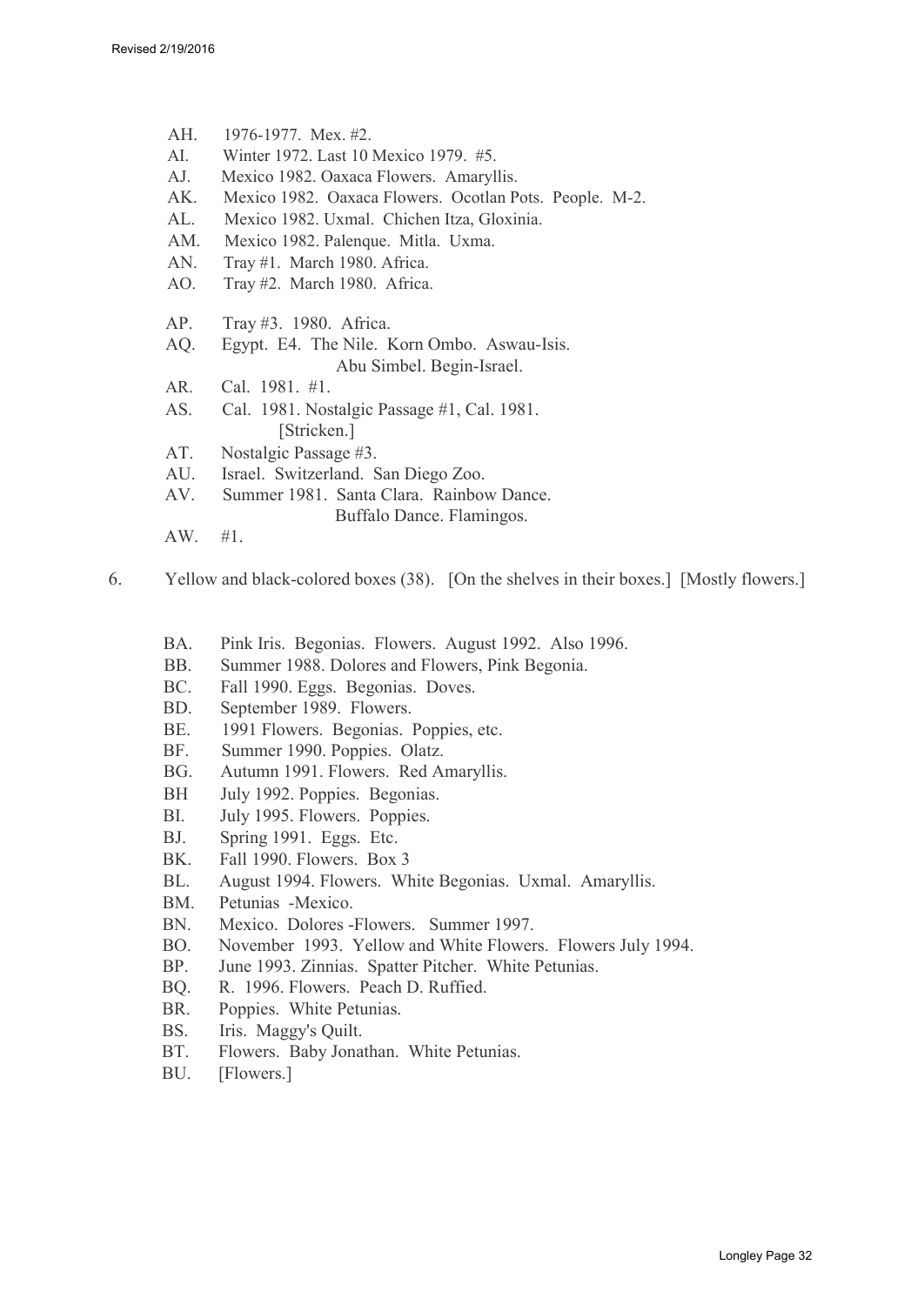- AH. 1976-1977. Mex. #2.
- AI. Winter 1972. Last 10 Mexico 1979. #5.
- AJ. Mexico 1982. Oaxaca Flowers. Amaryllis.
- AK. Mexico 1982. Oaxaca Flowers. Ocotlan Pots. People. M-2.
- AL. Mexico 1982. Uxmal. Chichen Itza, Gloxinia.
- AM. Mexico 1982. Palenque. Mitla. Uxma.
- AN. Tray #1. March 1980. Africa.
- AO. Tray #2. March 1980. Africa.
- AP. Tray #3. 1980. Africa.
- AQ. Egypt. E4. The Nile. Korn Ombo. Aswau-Isis. Abu Simbel. Begin-Israel.
- AR. Cal. 1981. #1.
- AS. Cal. 1981. Nostalgic Passage #1, Cal. 1981. [Stricken.]
- AT. Nostalgic Passage #3.
- AU. Israel. Switzerland. San Diego Zoo.
- AV. Summer 1981. Santa Clara. Rainbow Dance.
	- Buffalo Dance. Flamingos.
- AW. #1.
- 6. Yellow and black-colored boxes (38). [On the shelves in their boxes.] [Mostly flowers.]
	- BA. Pink Iris. Begonias. Flowers. August 1992. Also 1996.
	- BB. Summer 1988. Dolores and Flowers, Pink Begonia.
	- BC. Fall 1990. Eggs. Begonias. Doves.
	- BD. September 1989. Flowers.
	- BE. 1991 Flowers. Begonias. Poppies, etc.
	- BF. Summer 1990. Poppies. Olatz.
	- BG. Autumn 1991. Flowers. Red Amaryllis.
	- BH July 1992. Poppies. Begonias.
	- BI. July 1995. Flowers. Poppies.
	- BJ. Spring 1991. Eggs. Etc.
	- BK. Fall 1990. Flowers. Box 3
	- BL. August 1994. Flowers. White Begonias. Uxmal. Amaryllis.
	- BM. Petunias -Mexico.
	- BN. Mexico. Dolores -Flowers. Summer 1997.
	- BO. November 1993. Yellow and White Flowers. Flowers July 1994.
	- BP. June 1993. Zinnias. Spatter Pitcher. White Petunias.
	- BQ. R. 1996. Flowers. Peach D. Ruffied.
	- BR. Poppies. White Petunias.
	- BS. Iris. Maggy's Quilt.
	- BT. Flowers. Baby Jonathan. White Petunias.
	- BU. [Flowers.]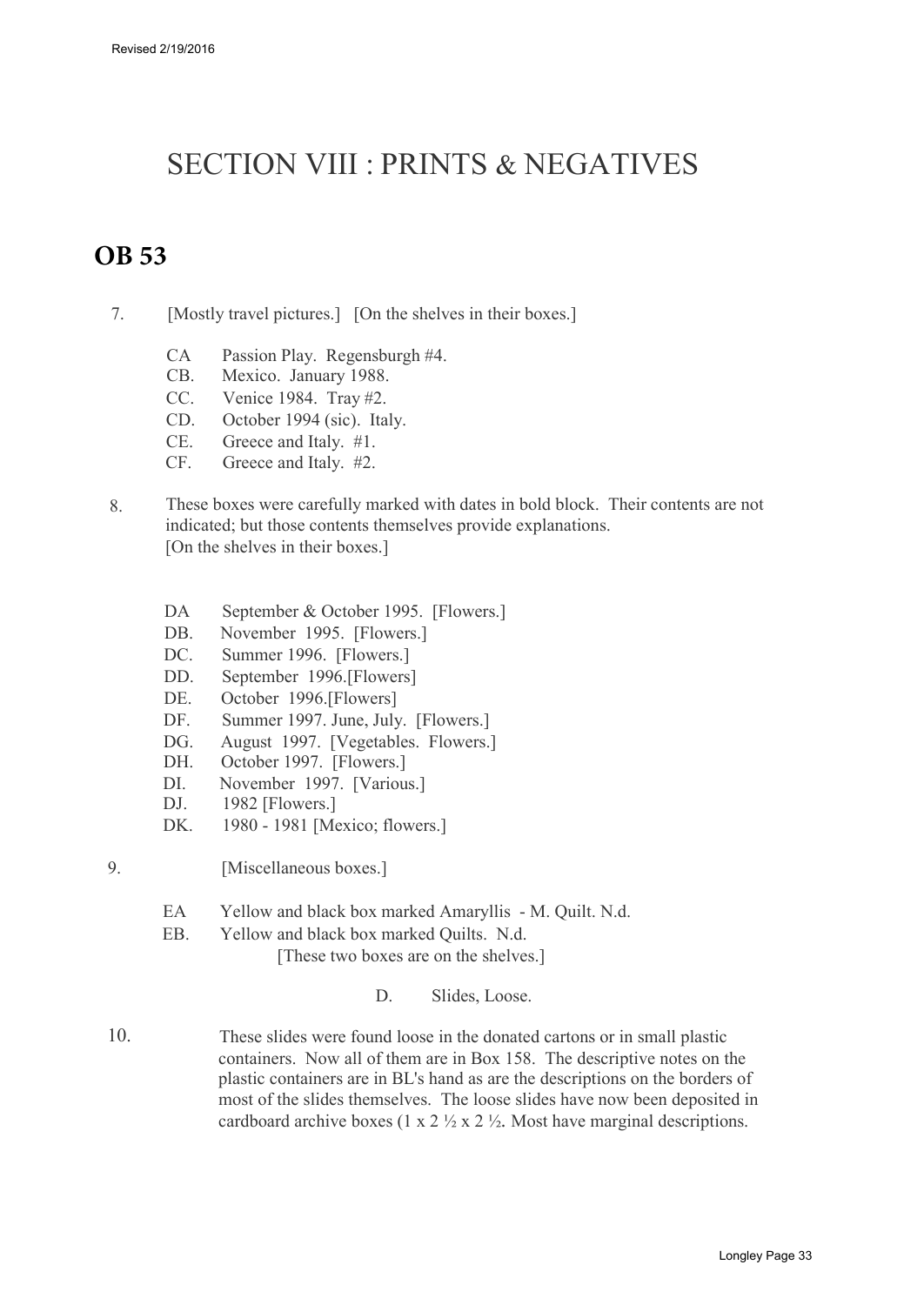## SECTION VIII : PRINTS & NEGATIVES

## **OB 53**

- 7. [Mostly travel pictures.] [On the shelves in their boxes.]
	- CA Passion Play. Regensburgh #4.
	- CB. Mexico. January 1988.
	- CC. Venice 1984. Tray #2.
	- CD. October 1994 (sic). Italy.
	- CE. Greece and Italy. #1.
	- CF. Greece and Italy. #2.
- 8. These boxes were carefully marked with dates in bold block. Their contents are not indicated; but those contents themselves provide explanations. [On the shelves in their boxes.]
	- DA September & October 1995. [Flowers.]
	- DB. November 1995. [Flowers.]
	- DC. Summer 1996. [Flowers.]
	- DD. September 1996.[Flowers]
	- DE. October 1996.[Flowers]
	- DF. Summer 1997. June, July. [Flowers.]
	- DG<sub>.</sub> August 1997. [Vegetables. Flowers.]
	- DH. October 1997. [Flowers.]
	- DI. November 1997. [Various.]
	- DJ. 1982 [Flowers.]
	- DK. 1980 1981 [Mexico; flowers.]
- 9. [Miscellaneous boxes.]
	- EA Yellow and black box marked Amaryllis M. Quilt. N.d.
	- EB. Yellow and black box marked Quilts. N.d.

[These two boxes are on the shelves.]

D. Slides, Loose.

10. These slides were found loose in the donated cartons or in small plastic containers. Now all of them are in Box 158. The descriptive notes on the plastic containers are in BL's hand as are the descriptions on the borders of most of the slides themselves. The loose slides have now been deposited in cardboard archive boxes (1 x 2  $\frac{1}{2}$  x 2  $\frac{1}{2}$ ). Most have marginal descriptions.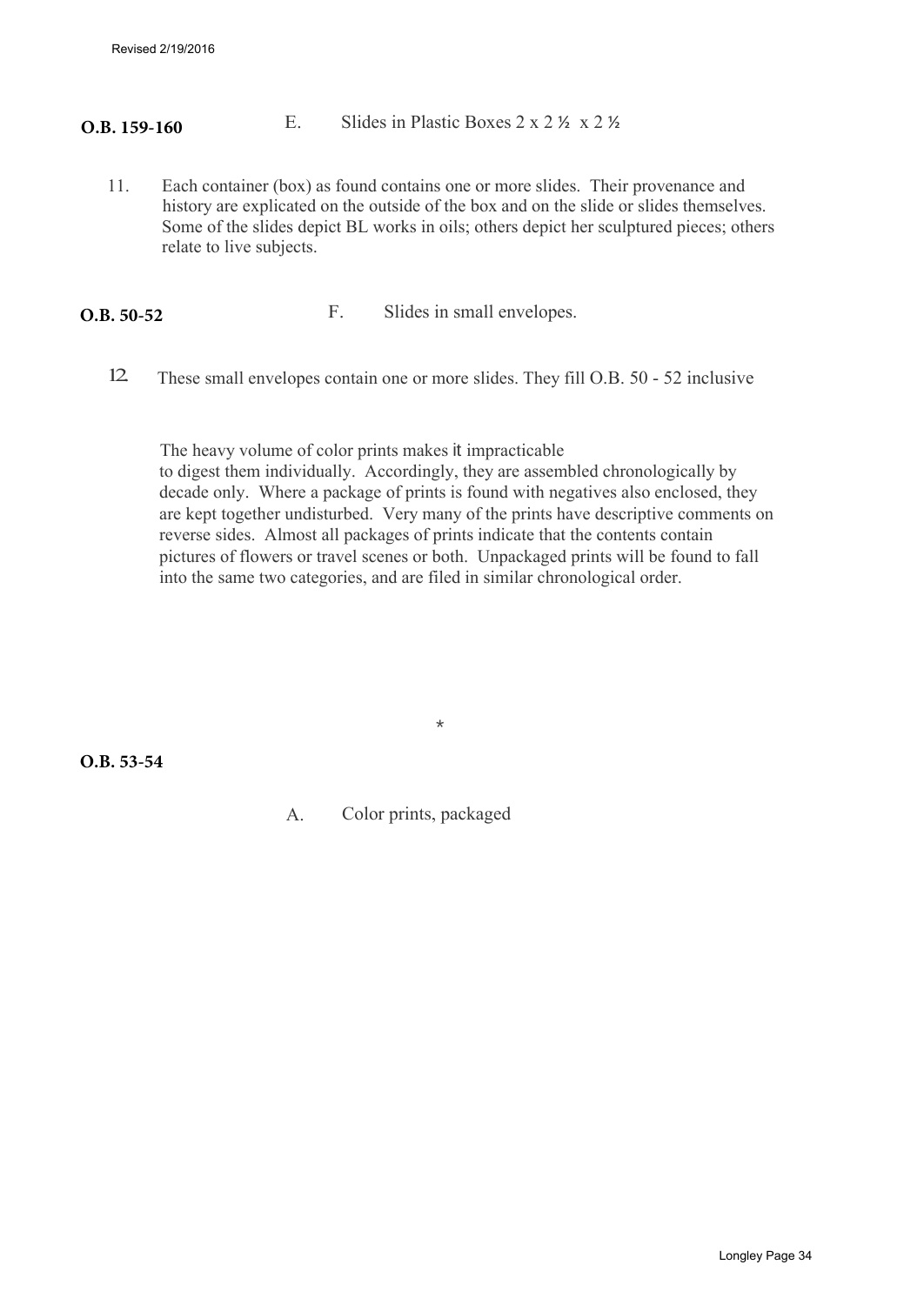Revised 2/19/2016

#### E. Slides in Plastic Boxes 2 x 2 ½ x 2 ½ **O.B. 159-160**

11. Each container (box) as found contains one or more slides. Their provenance and history are explicated on the outside of the box and on the slide or slides themselves. Some of the slides depict BL works in oils; others depict her sculptured pieces; others relate to live subjects.

F. Slides in small envelopes. **O.B. 50-52**

12. These small envelopes contain one or more slides. They fill O.B. 50 - 52 inclusive

The heavy volume of color prints makes it impracticable to digest them individually. Accordingly, they are assembled chronologically by decade only. Where a package of prints is found with negatives also enclosed, they are kept together undisturbed. Very many of the prints have descriptive comments on reverse sides. Almost all packages of prints indicate that the contents contain pictures of flowers or travel scenes or both. Unpackaged prints will be found to fall into the same two categories, and are filed in similar chronological order.

**O.B. 53-54**

A. Color prints, packaged

\*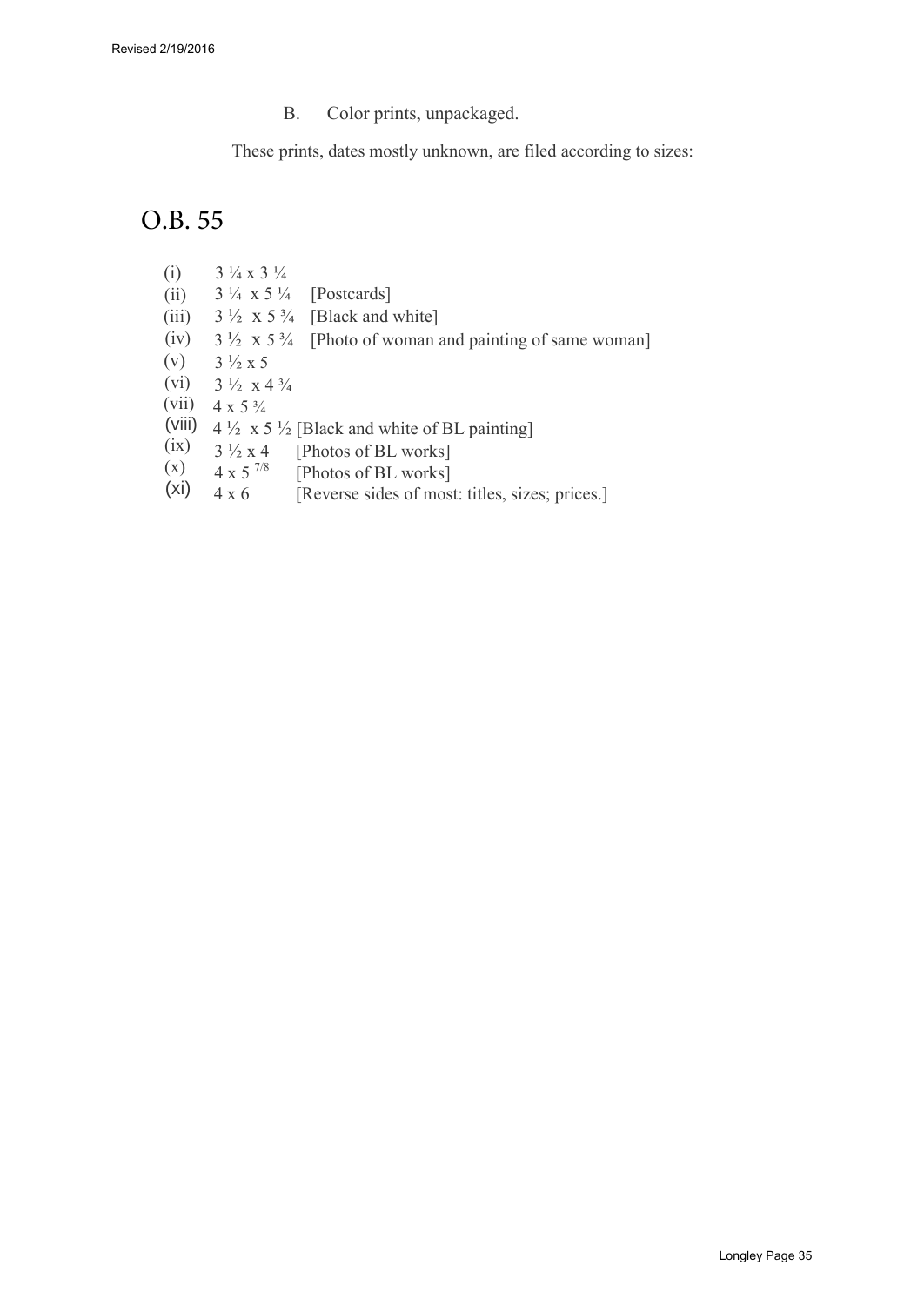B. Color prints, unpackaged.

These prints, dates mostly unknown, are filed according to sizes:

## O.B. 55

- (i) 3 ¼ x 3 ¼
- (ii) 3 ¼ x 5 ¼ [Postcards]
- $(iii)$  $3\frac{1}{2}$  x 5 $\frac{3}{4}$  [Black and white]
- (iv)  $3\frac{1}{2}$  x  $5\frac{3}{4}$  [Photo of woman and painting of same woman]
- (v)  $3\frac{1}{2}$  x 5
- (vi)  $3\frac{1}{2}$  x 4 $\frac{3}{4}$
- (vii)  $4 \times 5 \frac{3}{4}$
- (Viii)  $4\frac{1}{2} \times 5\frac{1}{2}$  [Black and white of BL painting]
- (ix)  $3\frac{1}{2} \times 4$  [Photos of BL works]<br>4 x 5<sup>7/8</sup> [Photos of BL works]
- (x)  $4 \times 5^{7/8}$  [Photos of BL works]<br> $4 \times 6$  [Reverse sides of mos
- (xi) [Reverse sides of most: titles, sizes; prices.]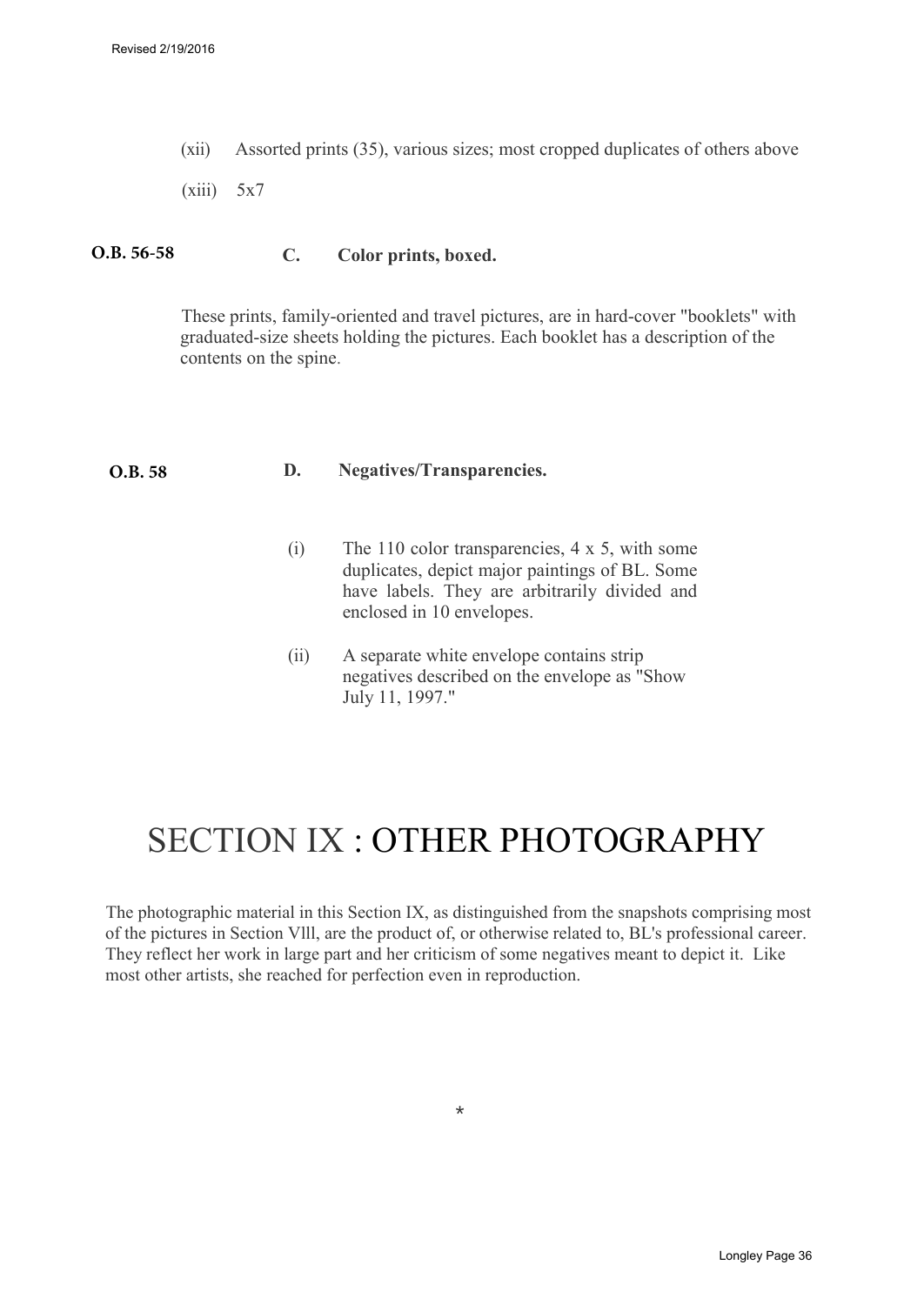(xii) Assorted prints (35), various sizes; most cropped duplicates of others above

 $(xiii)$  5x7

#### **C. Color prints, boxed. O.B. 56-58**

These prints, family-oriented and travel pictures, are in hard-cover "booklets" with graduated-size sheets holding the pictures. Each booklet has a description of the contents on the spine.

#### **D. Negatives/Transparencies. O.B. 58**

- (i) The 110 color transparencies, 4 x 5, with some duplicates, depict major paintings of BL. Some have labels. They are arbitrarily divided and enclosed in 10 envelopes.
- (ii) A separate white envelope contains strip negatives described on the envelope as "Show July 11, 1997."

## SECTION IX : OTHER PHOTOGRAPHY

The photographic material in this Section IX, as distinguished from the snapshots comprising most of the pictures in Section Vlll, are the product of, or otherwise related to, BL's professional career. They reflect her work in large part and her criticism of some negatives meant to depict it. Like most other artists, she reached for perfection even in reproduction.

\*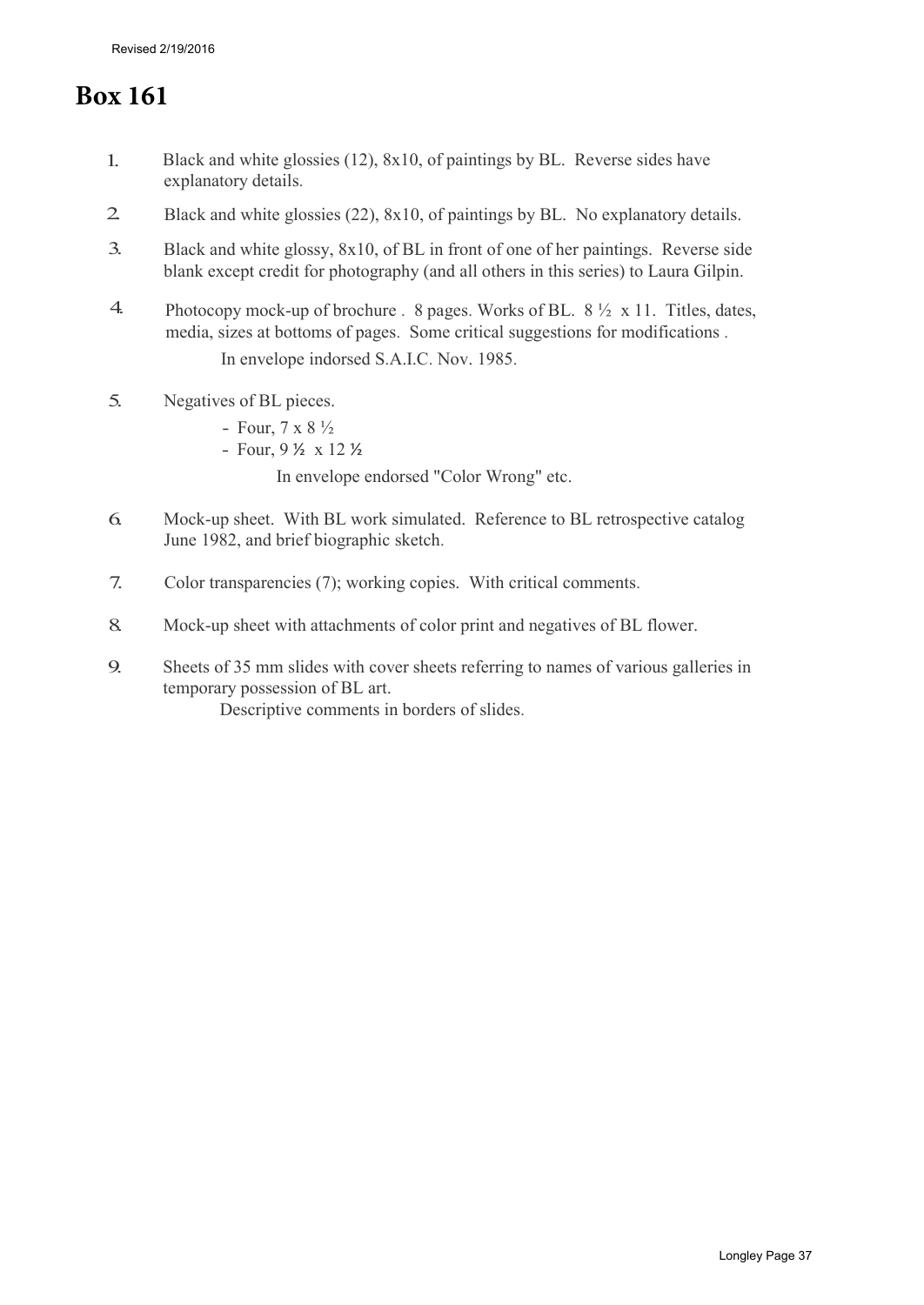## **Box 161**

- 1. Black and white glossies (12), 8x10, of paintings by BL. Reverse sides have explanatory details.
- 2. Black and white glossies (22), 8x10, of paintings by BL. No explanatory details.
- 3. Black and white glossy, 8x10, of BL in front of one of her paintings. Reverse side blank except credit for photography (and all others in this series) to Laura Gilpin.
- 4. Photocopy mock-up of brochure . 8 pages. Works of BL.  $8\frac{1}{2} \times 11$ . Titles, dates, media, sizes at bottoms of pages. Some critical suggestions for modifications . In envelope indorsed S.A.I.C. Nov. 1985.
- 5. Negatives of BL pieces.
	- Four,  $7 \times 8 \frac{1}{2}$
	- Four, 9 ½ x 12 ½

In envelope endorsed "Color Wrong" etc.

- 6. Mock-up sheet. With BL work simulated. Reference to BL retrospective catalog June 1982, and brief biographic sketch.
- 7. Color transparencies (7); working copies. With critical comments.
- 8. Mock-up sheet with attachments of color print and negatives of BL flower.
- 9. Sheets of 35 mm slides with cover sheets referring to names of various galleries in temporary possession of BL art.

Descriptive comments in borders of slides.